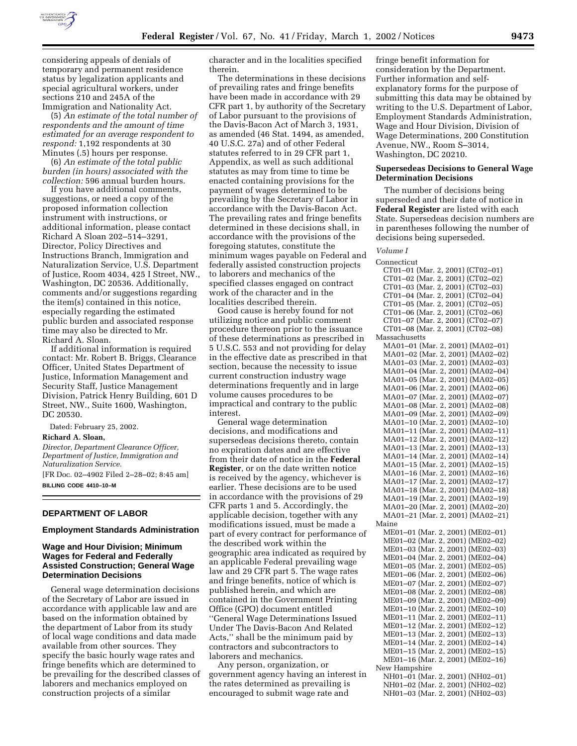

considering appeals of denials of temporary and permanent residence status by legalization applicants and special agricultural workers, under sections 210 and 245A of the Immigration and Nationality Act.

(5) *An estimate of the total number of respondents and the amount of time estimated for an average respondent to respond:* 1,192 respondents at 30 Minutes (.5) hours per response.

(6) *An estimate of the total public burden (in hours) associated with the collection:* 596 annual burden hours.

If you have additional comments, suggestions, or need a copy of the proposed information collection instrument with instructions, or additional information, please contact Richard A Sloan 202–514–3291, Director, Policy Directives and Instructions Branch, Immigration and Naturalization Service, U.S. Department of Justice, Room 4034, 425 I Street, NW., Washington, DC 20536. Additionally, comments and/or suggestions regarding the item(s) contained in this notice, especially regarding the estimated public burden and associated response time may also be directed to Mr. Richard A. Sloan.

If additional information is required contact: Mr. Robert B. Briggs, Clearance Officer, United States Department of Justice, Information Management and Security Staff, Justice Management Division, Patrick Henry Building, 601 D Street, NW., Suite 1600, Washington, DC 20530.

Dated: February 25, 2002.

#### **Richard A. Sloan,**

*Director, Department Clearance Officer, Department of Justice, Immigration and Naturalization Service.*

[FR Doc. 02–4902 Filed 2–28–02; 8:45 am] **BILLING CODE 4410–10–M**

## **DEPARTMENT OF LABOR**

#### **Employment Standards Administration**

# **Wage and Hour Division; Minimum Wages for Federal and Federally Assisted Construction; General Wage Determination Decisions**

General wage determination decisions of the Secretary of Labor are issued in accordance with applicable law and are based on the information obtained by the department of Labor from its study of local wage conditions and data made available from other sources. They specify the basic hourly wage rates and fringe benefits which are determined to be prevailing for the described classes of laborers and mechanics employed on construction projects of a similar

character and in the localities specified therein.

The determinations in these decisions of prevailing rates and fringe benefits have been made in accordance with 29 CFR part 1, by authority of the Secretary of Labor pursuant to the provisions of the Davis-Bacon Act of March 3, 1931, as amended (46 Stat. 1494, as amended, 40 U.S.C. 27a) and of other Federal statutes referred to in 29 CFR part 1, Appendix, as well as such additional statutes as may from time to time be enacted containing provisions for the payment of wages determined to be prevailing by the Secretary of Labor in accordance with the Davis-Bacon Act. The prevailing rates and fringe benefits determined in these decisions shall, in accordance with the provisions of the foregoing statutes, constitute the minimum wages payable on Federal and federally assisted construction projects to laborers and mechanics of the specified classes engaged on contract work of the character and in the localities described therein.

Good cause is hereby found for not utilizing notice and public comment procedure thereon prior to the issuance of these determinations as prescribed in 5 U.S.C. 553 and not providing for delay in the effective date as prescribed in that section, because the necessity to issue current construction industry wage determinations frequently and in large volume causes procedures to be impractical and contrary to the public interest.

General wage determination decisions, and modifications and supersedeas decisions thereto, contain no expiration dates and are effective from their date of notice in the **Federal Register**, or on the date written notice is received by the agency, whichever is earlier. These decisions are to be used in accordance with the provisions of 29 CFR parts 1 and 5. Accordingly, the applicable decision, together with any modifications issued, must be made a part of every contract for performance of the described work within the geographic area indicated as required by an applicable Federal prevailing wage law and 29 CFR part 5. The wage rates and fringe benefits, notice of which is published herein, and which are contained in the Government Printing Office (GPO) document entitled ''General Wage Determinations Issued Under The Davis-Bacon And Related Acts,'' shall be the minimum paid by contractors and subcontractors to laborers and mechanics.

Any person, organization, or government agency having an interest in the rates determined as prevailing is encouraged to submit wage rate and

fringe benefit information for consideration by the Department. Further information and selfexplanatory forms for the purpose of submitting this data may be obtained by writing to the U.S. Department of Labor, Employment Standards Administration, Wage and Hour Division, Division of Wage Determinations, 200 Constitution Avenue, NW., Room S–3014, Washington, DC 20210.

## **Supersedeas Decisions to General Wage Determination Decisions**

The number of decisions being superseded and their date of notice in **Federal Register** are listed with each State. Supersedeas decision numbers are in parentheses following the number of decisions being superseded.

*Volume I*

Connecticut CT01–01 (Mar. 2, 2001) (CT02–01) CT01–02 (Mar. 2, 2001) (CT02–02) CT01–03 (Mar. 2, 2001) (CT02–03) CT01–04 (Mar. 2, 2001) (CT02–04) CT01–05 (Mar. 2, 2001) (CT02–05) CT01–06 (Mar. 2, 2001) (CT02–06) CT01–07 (Mar. 2, 2001) (CT02–07) CT01–08 (Mar. 2, 2001) (CT02–08) Massachusetts MA01–01 (Mar. 2, 2001) (MA02–01) MA01–02 (Mar. 2, 2001) (MA02–02) MA01–03 (Mar. 2, 2001) (MA02–03) MA01–04 (Mar. 2, 2001) (MA02–04) MA01–05 (Mar. 2, 2001) (MA02–05) MA01–06 (Mar. 2, 2001) (MA02–06) MA01–07 (Mar. 2, 2001) (MA02–07) MA01–08 (Mar. 2, 2001) (MA02–08) MA01–09 (Mar. 2, 2001) (MA02–09) MA01–10 (Mar. 2, 2001) (MA02–10) MA01–11 (Mar. 2, 2001) (MA02–11) MA01–12 (Mar. 2, 2001) (MA02–12) MA01–13 (Mar. 2, 2001) (MA02–13) MA01–14 (Mar. 2, 2001) (MA02–14) MA01–15 (Mar. 2, 2001) (MA02–15) MA01–16 (Mar. 2, 2001) (MA02–16) MA01–17 (Mar. 2, 2001) (MA02–17) MA01–18 (Mar. 2, 2001) (MA02–18) MA01–19 (Mar. 2, 2001) (MA02–19) MA01–20 (Mar. 2, 2001) (MA02–20) MA01–21 (Mar. 2, 2001) (MA02–21) Maine ME01–01 (Mar. 2, 2001) (ME02–01) ME01–02 (Mar. 2, 2001) (ME02–02) ME01–03 (Mar. 2, 2001) (ME02–03) ME01–04 (Mar. 2, 2001) (ME02–04) ME01–05 (Mar. 2, 2001) (ME02–05) ME01–06 (Mar. 2, 2001) (ME02–06) ME01–07 (Mar. 2, 2001) (ME02–07) ME01–08 (Mar. 2, 2001) (ME02–08) ME01–09 (Mar. 2, 2001) (ME02–09) ME01–10 (Mar. 2, 2001) (ME02–10) ME01–11 (Mar. 2, 2001) (ME02–11) ME01–12 (Mar. 2, 2001) (ME02–12) ME01–13 (Mar. 2, 2001) (ME02–13) ME01–14 (Mar. 2, 2001) (ME02–14) ME01–15 (Mar. 2, 2001) (ME02–15) ME01–16 (Mar. 2, 2001) (ME02–16) New Hampshire NH01–01 (Mar. 2, 2001) (NH02–01)

NH01–02 (Mar. 2, 2001) (NH02–02) NH01–03 (Mar. 2, 2001) (NH02–03)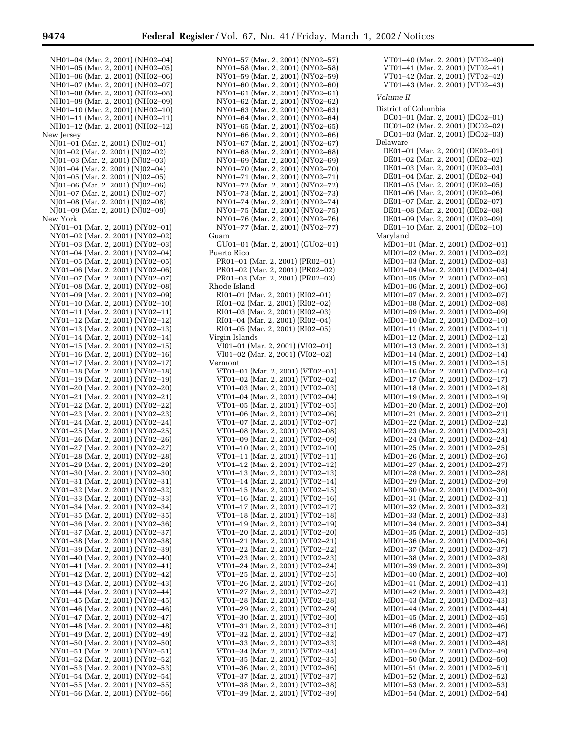NH01–04 (Mar. 2, 2001) (NH02–04) NH01–05 (Mar. 2, 2001) (NH02–05) NH01–06 (Mar. 2, 2001) (NH02–06) NH01–07 (Mar. 2, 2001) (NH02–07) NH01–08 (Mar. 2, 2001) (NH02–08) NH01–09 (Mar. 2, 2001) (NH02–09) NH01–10 (Mar. 2, 2001) (NH02–10) NH01–11 (Mar. 2, 2001) (NH02–11) NH01–12 (Mar. 2, 2001) (NH02–12) New Jersey NJ01–01 (Mar. 2, 2001) (NJ02–01) NJ01–02 (Mar. 2, 2001) (NJ02–02) NJ01–03 (Mar. 2, 2001) (NJ02–03) NJ01–04 (Mar. 2, 2001) (NJ02–04) NJ01–05 (Mar. 2, 2001) (NJ02–05) NJ01–06 (Mar. 2, 2001) (NJ02–06) NJ01–07 (Mar. 2, 2001) (NJ02–07) NJ01–08 (Mar. 2, 2001) (NJ02–08) NJ01–09 (Mar. 2, 2001) (NJ02–09) New York NY01–01 (Mar. 2, 2001) (NY02–01) NY01–02 (Mar. 2, 2001) (NY02–02) NY01–03 (Mar. 2, 2001) (NY02–03) NY01–04 (Mar. 2, 2001) (NY02–04) NY01–05 (Mar. 2, 2001) (NY02–05) NY01–06 (Mar. 2, 2001) (NY02–06) NY01–07 (Mar. 2, 2001) (NY02–07) NY01–08 (Mar. 2, 2001) (NY02–08) NY01–09 (Mar. 2, 2001) (NY02–09) NY01–10 (Mar. 2, 2001) (NY02–10) NY01–11 (Mar. 2, 2001) (NY02–11) NY01–12 (Mar. 2, 2001) (NY02–12) NY01–13 (Mar. 2, 2001) (NY02–13) NY01–14 (Mar. 2, 2001) (NY02–14) NY01–15 (Mar. 2, 2001) (NY02–15) NY01–16 (Mar. 2, 2001) (NY02–16) NY01–17 (Mar. 2, 2001) (NY02–17) NY01–18 (Mar. 2, 2001) (NY02–18) NY01–19 (Mar. 2, 2001) (NY02–19) NY01–20 (Mar. 2, 2001) (NY02–20) NY01–21 (Mar. 2, 2001) (NY02–21) NY01–22 (Mar. 2, 2001) (NY02–22) NY01–23 (Mar. 2, 2001) (NY02–23) NY01–24 (Mar. 2, 2001) (NY02–24) NY01–25 (Mar. 2, 2001) (NY02–25) NY01–26 (Mar. 2, 2001) (NY02–26) NY01–27 (Mar. 2, 2001) (NY02–27) NY01–28 (Mar. 2, 2001) (NY02–28) NY01–29 (Mar. 2, 2001) (NY02–29) NY01–30 (Mar. 2, 2001) (NY02–30) NY01–31 (Mar. 2, 2001) (NY02–31) NY01–32 (Mar. 2, 2001) (NY02–32) NY01–33 (Mar. 2, 2001) (NY02–33) NY01–34 (Mar. 2, 2001) (NY02–34) NY01–35 (Mar. 2, 2001) (NY02–35) NY01–36 (Mar. 2, 2001) (NY02–36) NY01–37 (Mar. 2, 2001) (NY02–37) NY01–38 (Mar. 2, 2001) (NY02–38) NY01–39 (Mar. 2, 2001) (NY02–39) NY01–40 (Mar. 2, 2001) (NY02–40) NY01–41 (Mar. 2, 2001) (NY02–41) NY01–42 (Mar. 2, 2001) (NY02–42) NY01–43 (Mar. 2, 2001) (NY02–43) NY01–44 (Mar. 2, 2001) (NY02–44) NY01–45 (Mar. 2, 2001) (NY02–45) NY01–46 (Mar. 2, 2001) (NY02–46) NY01–47 (Mar. 2, 2001) (NY02–47) NY01–48 (Mar. 2, 2001) (NY02–48) NY01–49 (Mar. 2, 2001) (NY02–49) NY01–50 (Mar. 2, 2001) (NY02–50) NY01–51 (Mar. 2, 2001) (NY02–51) NY01–52 (Mar. 2, 2001) (NY02–52) NY01–53 (Mar. 2, 2001) (NY02–53) NY01–54 (Mar. 2, 2001) (NY02–54) NY01–55 (Mar. 2, 2001) (NY02–55)

NY01–56 (Mar. 2, 2001) (NY02–56)

NY01–57 (Mar. 2, 2001) (NY02–57) NY01–58 (Mar. 2, 2001) (NY02–58) NY01–59 (Mar. 2, 2001) (NY02–59) NY01–60 (Mar. 2, 2001) (NY02–60) NY01–61 (Mar. 2, 2001) (NY02–61) NY01–62 (Mar. 2, 2001) (NY02–62) NY01–63 (Mar. 2, 2001) (NY02–63) NY01–64 (Mar. 2, 2001) (NY02–64) NY01–65 (Mar. 2, 2001) (NY02–65) NY01–66 (Mar. 2, 2001) (NY02–66) NY01–67 (Mar. 2, 2001) (NY02–67) NY01–68 (Mar. 2, 2001) (NY02–68) NY01–69 (Mar. 2, 2001) (NY02–69) NY01–70 (Mar. 2, 2001) (NY02–70) NY01–71 (Mar. 2, 2001) (NY02–71) NY01–72 (Mar. 2, 2001) (NY02–72) NY01–73 (Mar. 2, 2001) (NY02–73) NY01–74 (Mar. 2, 2001) (NY02–74) NY01–75 (Mar. 2, 2001) (NY02–75) NY01–76 (Mar. 2, 2001) (NY02–76) NY01–77 (Mar. 2, 2001) (NY02–77) Guam GU01–01 (Mar. 2, 2001) (GU02–01) Puerto Rico PR01–01 (Mar. 2, 2001) (PR02–01) PR01–02 (Mar. 2, 2001) (PR02–02) PR01–03 (Mar. 2, 2001) (PR02–03) Rhode Island RI01–01 (Mar. 2, 2001) (RI02–01) RI01–02 (Mar. 2, 2001) (RI02–02) RI01–03 (Mar. 2, 2001) (RI02–03) RI01–04 (Mar. 2, 2001) (RI02–04) RI01–05 (Mar. 2, 2001) (RI02–05) Virgin Islands VI01–01 (Mar. 2, 2001) (VI02–01) VI01–02 (Mar. 2, 2001) (VI02–02) Vermont VT01–01 (Mar. 2, 2001) (VT02–01) VT01–02 (Mar. 2, 2001) (VT02–02) VT01–03 (Mar. 2, 2001) (VT02–03) VT01–04 (Mar. 2, 2001) (VT02–04) VT01–05 (Mar. 2, 2001) (VT02–05) VT01–06 (Mar. 2, 2001) (VT02–06) VT01–07 (Mar. 2, 2001) (VT02–07) VT01–08 (Mar. 2, 2001) (VT02–08) VT01–09 (Mar. 2, 2001) (VT02–09) VT01–10 (Mar. 2, 2001) (VT02–10) VT01–11 (Mar. 2, 2001) (VT02–11) VT01–12 (Mar. 2, 2001) (VT02–12) VT01–13 (Mar. 2, 2001) (VT02–13) VT01–14 (Mar. 2, 2001) (VT02–14) VT01–15 (Mar. 2, 2001) (VT02–15) VT01–16 (Mar. 2, 2001) (VT02–16) VT01–17 (Mar. 2, 2001) (VT02–17) VT01–18 (Mar. 2, 2001) (VT02–18) VT01–19 (Mar. 2, 2001) (VT02–19) VT01–20 (Mar. 2, 2001) (VT02–20) VT01–21 (Mar. 2, 2001) (VT02–21) VT01–22 (Mar. 2, 2001) (VT02–22) VT01–23 (Mar. 2, 2001) (VT02–23) VT01–24 (Mar. 2, 2001) (VT02–24) VT01–25 (Mar. 2, 2001) (VT02–25) VT01–26 (Mar. 2, 2001) (VT02–26) VT01–27 (Mar. 2, 2001) (VT02–27) VT01–28 (Mar. 2, 2001) (VT02–28) VT01–29 (Mar. 2, 2001) (VT02–29) VT01–30 (Mar. 2, 2001) (VT02–30) VT01–31 (Mar. 2, 2001) (VT02–31) VT01–32 (Mar. 2, 2001) (VT02–32) VT01–33 (Mar. 2, 2001) (VT02–33) VT01–34 (Mar. 2, 2001) (VT02–34) VT01–35 (Mar. 2, 2001) (VT02–35) VT01–36 (Mar. 2, 2001) (VT02–36) VT01–37 (Mar. 2, 2001) (VT02–37) VT01–38 (Mar. 2, 2001) (VT02–38) VT01–39 (Mar. 2, 2001) (VT02–39)

VT01–40 (Mar. 2, 2001) (VT02–40) VT01–41 (Mar. 2, 2001) (VT02–41) VT01–42 (Mar. 2, 2001) (VT02–42) VT01–43 (Mar. 2, 2001) (VT02–43) *Volume II* District of Columbia DC01–01 (Mar. 2, 2001) (DC02–01) DC01–02 (Mar. 2, 2001) (DC02–02) DC01–03 (Mar. 2, 2001) (DC02–03) Delaware DE01–01 (Mar. 2, 2001) (DE02–01) DE01–02 (Mar. 2, 2001) (DE02–02) DE01–03 (Mar. 2, 2001) (DE02–03) DE01–04 (Mar. 2, 2001) (DE02–04) DE01–05 (Mar. 2, 2001) (DE02–05) DE01–06 (Mar. 2, 2001) (DE02–06) DE01–07 (Mar. 2, 2001) (DE02–07) DE01–08 (Mar. 2, 2001) (DE02–08) DE01–09 (Mar. 2, 2001) (DE02–09) DE01–10 (Mar. 2, 2001) (DE02–10) Maryland MD01–01 (Mar. 2, 2001) (MD02–01) MD01–02 (Mar. 2, 2001) (MD02–02) MD01–03 (Mar. 2, 2001) (MD02–03) MD01–04 (Mar. 2, 2001) (MD02–04) MD01–05 (Mar. 2, 2001) (MD02–05) MD01–06 (Mar. 2, 2001) (MD02–06) MD01–07 (Mar. 2, 2001) (MD02–07) MD01–08 (Mar. 2, 2001) (MD02–08) MD01–09 (Mar. 2, 2001) (MD02–09) MD01–10 (Mar. 2, 2001) (MD02–10) MD01–11 (Mar. 2, 2001) (MD02–11) MD01–12 (Mar. 2, 2001) (MD02–12) MD01–13 (Mar. 2, 2001) (MD02–13) MD01–14 (Mar. 2, 2001) (MD02–14) MD01–15 (Mar. 2, 2001) (MD02–15) MD01–16 (Mar. 2, 2001) (MD02–16) MD01–17 (Mar. 2, 2001) (MD02–17) MD01–18 (Mar. 2, 2001) (MD02–18) MD01–19 (Mar. 2, 2001) (MD02–19) MD01–20 (Mar. 2, 2001) (MD02–20) MD01–21 (Mar. 2, 2001) (MD02–21) MD01–22 (Mar. 2, 2001) (MD02–22) MD01–23 (Mar. 2, 2001) (MD02–23) MD01–24 (Mar. 2, 2001) (MD02–24) MD01–25 (Mar. 2, 2001) (MD02–25) MD01–26 (Mar. 2, 2001) (MD02–26) MD01–27 (Mar. 2, 2001) (MD02–27) MD01–28 (Mar. 2, 2001) (MD02–28) MD01–29 (Mar. 2, 2001) (MD02–29) MD01–30 (Mar. 2, 2001) (MD02–30) MD01–31 (Mar. 2, 2001) (MD02–31) MD01–32 (Mar. 2, 2001) (MD02–32) MD01–33 (Mar. 2, 2001) (MD02–33) MD01–34 (Mar. 2, 2001) (MD02–34) MD01–35 (Mar. 2, 2001) (MD02–35) MD01–36 (Mar. 2, 2001) (MD02–36) MD01–37 (Mar. 2, 2001) (MD02–37) MD01–38 (Mar. 2, 2001) (MD02–38) MD01–39 (Mar. 2, 2001) (MD02–39) MD01–40 (Mar. 2, 2001) (MD02–40) MD01–41 (Mar. 2, 2001) (MD02–41) MD01–42 (Mar. 2, 2001) (MD02–42) MD01–43 (Mar. 2, 2001) (MD02–43) MD01–44 (Mar. 2, 2001) (MD02–44) MD01–45 (Mar. 2, 2001) (MD02–45) MD01–46 (Mar. 2, 2001) (MD02–46) MD01–47 (Mar. 2, 2001) (MD02–47) MD01–48 (Mar. 2, 2001) (MD02–48) MD01–49 (Mar. 2, 2001) (MD02–49) MD01–50 (Mar. 2, 2001) (MD02–50) MD01–51 (Mar. 2, 2001) (MD02–51) MD01–52 (Mar. 2, 2001) (MD02–52) MD01–53 (Mar. 2, 2001) (MD02–53) MD01–54 (Mar. 2, 2001) (MD02–54)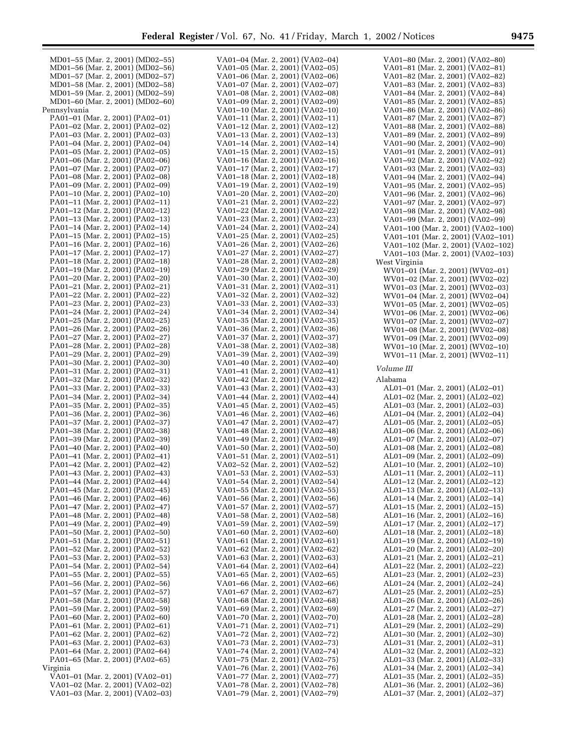| MD01-55 (Mar. 2, 2001) (MD02-55) | VA01–04 (Mar. 2, 2001) (VA02–04) | VA01-80 (Mar. 2, 2001) (VA02-80)   |
|----------------------------------|----------------------------------|------------------------------------|
| MD01-56 (Mar. 2, 2001) (MD02-56) | VA01-05 (Mar. 2, 2001) (VA02-05) | VA01-81 (Mar. 2, 2001) (VA02-81)   |
| MD01-57 (Mar. 2, 2001) (MD02-57) | VA01–06 (Mar. 2, 2001) (VA02–06) | VA01-82 (Mar. 2, 2001) (VA02-82)   |
| MD01-58 (Mar. 2, 2001) (MD02-58) | VA01-07 (Mar. 2, 2001) (VA02-07) | VA01-83 (Mar. 2, 2001) (VA02-83)   |
| MD01-59 (Mar. 2, 2001) (MD02-59) | VA01–08 (Mar. 2, 2001) (VA02–08) | VA01-84 (Mar. 2, 2001) (VA02-84)   |
|                                  |                                  |                                    |
| MD01-60 (Mar. 2, 2001) (MD02-60) | VA01-09 (Mar. 2, 2001) (VA02-09) | VA01-85 (Mar. 2, 2001) (VA02-85)   |
| Pennsylvania                     | VA01-10 (Mar. 2, 2001) (VA02-10) | VA01-86 (Mar. 2, 2001) (VA02-86)   |
| PA01-01 (Mar. 2, 2001) (PA02-01) | VA01-11 (Mar. 2, 2001) (VA02-11) | VA01-87 (Mar. 2, 2001) (VA02-87)   |
| PA01-02 (Mar. 2, 2001) (PA02-02) | VA01-12 (Mar. 2, 2001) (VA02-12) | VA01-88 (Mar. 2, 2001) (VA02-88)   |
| PA01-03 (Mar. 2, 2001) (PA02-03) | VA01-13 (Mar. 2, 2001) (VA02-13) | VA01-89 (Mar. 2, 2001) (VA02-89)   |
| PA01-04 (Mar. 2, 2001) (PA02-04) | VA01-14 (Mar. 2, 2001) (VA02-14) | VA01-90 (Mar. 2, 2001) (VA02-90)   |
| PA01-05 (Mar. 2, 2001) (PA02-05) | VA01-15 (Mar. 2, 2001) (VA02-15) | VA01-91 (Mar. 2, 2001) (VA02-91)   |
| PA01-06 (Mar. 2, 2001) (PA02-06) | VA01-16 (Mar. 2, 2001) (VA02-16) | VA01-92 (Mar. 2, 2001) (VA02-92)   |
| PA01-07 (Mar. 2, 2001) (PA02-07) | VA01-17 (Mar. 2, 2001) (VA02-17) | VA01-93 (Mar. 2, 2001) (VA02-93)   |
|                                  |                                  |                                    |
| PA01-08 (Mar. 2, 2001) (PA02-08) | VA01-18 (Mar. 2, 2001) (VA02-18) | VA01-94 (Mar. 2, 2001) (VA02-94)   |
| PA01-09 (Mar. 2, 2001) (PA02-09) | VA01-19 (Mar. 2, 2001) (VA02-19) | VA01-95 (Mar. 2, 2001) (VA02-95)   |
| PA01-10 (Mar. 2, 2001) (PA02-10) | VA01–20 (Mar. 2, 2001) (VA02–20) | VA01-96 (Mar. 2, 2001) (VA02-96)   |
| PA01-11 (Mar. 2, 2001) (PA02-11) | VA01-21 (Mar. 2, 2001) (VA02-22) | VA01-97 (Mar. 2, 2001) (VA02-97)   |
| PA01-12 (Mar. 2, 2001) (PA02-12) | VA01–22 (Mar. 2, 2001) (VA02–22) | VA01-98 (Mar. 2, 2001) (VA02-98)   |
| PA01-13 (Mar. 2, 2001) (PA02-13) | VA01–23 (Mar. 2, 2001) (VA02–23) | VA01-99 (Mar. 2, 2001) (VA02-99)   |
| PA01-14 (Mar. 2, 2001) (PA02-14) | VA01–24 (Mar. 2, 2001) (VA02–24) | VA01-100 (Mar. 2, 2001) (VA02-100) |
| PA01-15 (Mar. 2, 2001) (PA02-15) | VA01–25 (Mar. 2, 2001) (VA02–25) | VA01-101 (Mar. 2, 2001) (VA02-101) |
| PA01-16 (Mar. 2, 2001) (PA02-16) | VA01-26 (Mar. 2, 2001) (VA02-26) | VA01-102 (Mar. 2, 2001) (VA02-102) |
|                                  | VA01-27 (Mar. 2, 2001) (VA02-27) |                                    |
| PA01-17 (Mar. 2, 2001) (PA02-17) |                                  | VA01-103 (Mar. 2, 2001) (VA02-103) |
| PA01-18 (Mar. 2, 2001) (PA02-18) | VA01-28 (Mar. 2, 2001) (VA02-28) | West Virginia                      |
| PA01-19 (Mar. 2, 2001) (PA02-19) | VA01-29 (Mar. 2, 2001) (VA02-29) | WV01-01 (Mar. 2, 2001) (WV02-01)   |
| PA01-20 (Mar. 2, 2001) (PA02-20) | VA01-30 (Mar. 2, 2001) (VA02-30) | WV01-02 (Mar. 2, 2001) (WV02-02)   |
| PA01-21 (Mar. 2, 2001) (PA02-21) | VA01-31 (Mar. 2, 2001) (VA02-31) | WV01-03 (Mar. 2, 2001) (WV02-03)   |
| PA01-22 (Mar. 2, 2001) (PA02-22) | VA01-32 (Mar. 2, 2001) (VA02-32) | WV01-04 (Mar. 2, 2001) (WV02-04)   |
| PA01-23 (Mar. 2, 2001) (PA02-23) | VA01-33 (Mar. 2, 2001) (VA02-33) | WV01-05 (Mar. 2, 2001) (WV02-05)   |
| PA01-24 (Mar. 2, 2001) (PA02-24) | VA01-34 (Mar. 2, 2001) (VA02-34) | WV01-06 (Mar. 2, 2001) (WV02-06)   |
|                                  | VA01–35 (Mar. 2, 2001) (VA02–35) |                                    |
| PA01-25 (Mar. 2, 2001) (PA02-25) |                                  | WV01-07 (Mar. 2, 2001) (WV02-07)   |
| PA01-26 (Mar. 2, 2001) (PA02-26) | VA01-36 (Mar. 2, 2001) (VA02-36) | WV01-08 (Mar. 2, 2001) (WV02-08)   |
| PA01-27 (Mar. 2, 2001) (PA02-27) | VA01–37 (Mar. 2, 2001) (VA02–37) | WV01-09 (Mar. 2, 2001) (WV02-09)   |
| PA01-28 (Mar. 2, 2001) (PA02-28) | VA01–38 (Mar. 2, 2001) (VA02–38) | WV01-10 (Mar. 2, 2001) (WV02-10)   |
| PA01-29 (Mar. 2, 2001) (PA02-29) | VA01–39 (Mar. 2, 2001) (VA02–39) | WV01-11 (Mar. 2, 2001) (WV02-11)   |
| PA01-30 (Mar. 2, 2001) (PA02-30) | VA01–40 (Mar. 2, 2001) (VA02–40) |                                    |
| PA01-31 (Mar. 2, 2001) (PA02-31) | VA01–41 (Mar. 2, 2001) (VA02–41) | Volume III                         |
| PA01-32 (Mar. 2, 2001) (PA02-32) | VA01–42 (Mar. 2, 2001) (VA02–42) | Alabama                            |
| PA01-33 (Mar. 2, 2001) (PA02-33) | VA01–43 (Mar. 2, 2001) (VA02–43) | AL01-01 (Mar. 2, 2001) (AL02-01)   |
|                                  |                                  |                                    |
| PA01-34 (Mar. 2, 2001) (PA02-34) | VA01–44 (Mar. 2, 2001) (VA02–44) | AL01–02 (Mar. 2, 2001) (AL02–02)   |
| PA01-35 (Mar. 2, 2001) (PA02-35) | VA01–45 (Mar. 2, 2001) (VA02–45) | AL01–03 (Mar. 2, 2001) (AL02–03)   |
| PA01-36 (Mar. 2, 2001) (PA02-36) | VA01–46 (Mar. 2, 2001) (VA02–46) | AL01-04 (Mar. 2, 2001) (AL02-04)   |
| PA01-37 (Mar. 2, 2001) (PA02-37) | VA01-47 (Mar. 2, 2001) (VA02-47) | AL01-05 (Mar. 2, 2001) (AL02-05)   |
| PA01-38 (Mar. 2, 2001) (PA02-38) | VA01–48 (Mar. 2, 2001) (VA02–48) | AL01-06 (Mar. 2, 2001) (AL02-06)   |
| PA01-39 (Mar. 2, 2001) (PA02-39) | VA01–49 (Mar. 2, 2001) (VA02–49) | AL01-07 (Mar. 2, 2001) (AL02-07)   |
| PA01-40 (Mar. 2, 2001) (PA02-40) | VA01-50 (Mar. 2, 2001) (VA02-50) | AL01-08 (Mar. 2, 2001) (AL02-08)   |
| PA01-41 (Mar. 2, 2001) (PA02-41) | VA01-51 (Mar. 2, 2001) (VA02-51) | AL01-09 (Mar. 2, 2001) (AL02-09)   |
| PA01-42 (Mar. 2, 2001) (PA02-42) | VA02-52 (Mar. 2, 2001) (VA02-52) | AL01-10 (Mar. 2, 2001) (AL02-10)   |
|                                  |                                  | AL01-11 (Mar. 2, 2001) (AL02-11)   |
| PA01-43 (Mar. 2, 2001) (PA02-43) | VA01-53 (Mar. 2, 2001) (VA02-53) |                                    |
| PA01–44 (Mar. 2, 2001) (PA02–44) | VA01–54 (Mar. 2, 2001) (VA02–54) | AL01–12 (Mar. 2, 2001) (AL02–12)   |
| PA01-45 (Mar. 2, 2001) (PA02-45) | VA01–55 (Mar. 2, 2001) (VA02–55) | AL01-13 (Mar. 2, 2001) (AL02-13)   |
| PA01–46 (Mar. 2, 2001) (PA02–46) | VA01-56 (Mar. 2, 2001) (VA02-56) | AL01-14 (Mar. 2, 2001) (AL02-14)   |
| PA01–47 (Mar. 2, 2001) (PA02–47) | VA01–57 (Mar. 2, 2001) (VA02–57) | AL01-15 (Mar. 2, 2001) (AL02-15)   |
| PA01-48 (Mar. 2, 2001) (PA02-48) | VA01–58 (Mar. 2, 2001) (VA02–58) | AL01-16 (Mar. 2, 2001) (AL02-16)   |
| PA01-49 (Mar. 2, 2001) (PA02-49) | VA01-59 (Mar. 2, 2001) (VA02-59) | AL01-17 (Mar. 2, 2001) (AL02-17)   |
| PA01-50 (Mar. 2, 2001) (PA02-50) | VA01–60 (Mar. 2, 2001) (VA02–60) | AL01-18 (Mar. 2, 2001) (AL02-18)   |
| PA01-51 (Mar. 2, 2001) (PA02-51) | VA01-61 (Mar. 2, 2001) (VA02-61) | AL01-19 (Mar. 2, 2001) (AL02-19)   |
|                                  |                                  |                                    |
| PA01-52 (Mar. 2, 2001) (PA02-52) | VA01–62 (Mar. 2, 2001) (VA02–62) | AL01-20 (Mar. 2, 2001) (AL02-20)   |
| PA01-53 (Mar. 2, 2001) (PA02-53) | VA01–63 (Mar. 2, 2001) (VA02–63) | AL01-21 (Mar. 2, 2001) (AL02-21)   |
| PA01-54 (Mar. 2, 2001) (PA02-54) | VA01–64 (Mar. 2, 2001) (VA02–64) | AL01-22 (Mar. 2, 2001) (AL02-22)   |
| PA01-55 (Mar. 2, 2001) (PA02-55) | VA01–65 (Mar. 2, 2001) (VA02–65) | AL01-23 (Mar. 2, 2001) (AL02-23)   |
| PA01-56 (Mar. 2, 2001) (PA02-56) | VA01–66 (Mar. 2, 2001) (VA02–66) | AL01-24 (Mar. 2, 2001) (AL02-24)   |
| PA01-57 (Mar. 2, 2001) (PA02-57) | VA01–67 (Mar. 2, 2001) (VA02–67) | AL01-25 (Mar. 2, 2001) (AL02-25)   |
| PA01-58 (Mar. 2, 2001) (PA02-58) | VA01-68 (Mar. 2, 2001) (VA02-68) | AL01-26 (Mar. 2, 2001) (AL02-26)   |
| PA01-59 (Mar. 2, 2001) (PA02-59) | VA01–69 (Mar. 2, 2001) (VA02–69) | AL01-27 (Mar. 2, 2001) (AL02-27)   |
| PA01-60 (Mar. 2, 2001) (PA02-60) | VA01–70 (Mar. 2, 2001) (VA02–70) | AL01-28 (Mar. 2, 2001) (AL02-28)   |
|                                  |                                  |                                    |
| PA01-61 (Mar. 2, 2001) (PA02-61) | VA01–71 (Mar. 2, 2001) (VA02–71) | AL01-29 (Mar. 2, 2001) (AL02-29)   |
| PA01-62 (Mar. 2, 2001) (PA02-62) | VA01–72 (Mar. 2, 2001) (VA02–72) | AL01-30 (Mar. 2, 2001) (AL02-30)   |
| PA01-63 (Mar. 2, 2001) (PA02-63) | VA01–73 (Mar. 2, 2001) (VA02–73) | AL01-31 (Mar. 2, 2001) (AL02-31)   |
| PA01–64 (Mar. 2, 2001) (PA02–64) | VA01–74 (Mar. 2, 2001) (VA02–74) | AL01-32 (Mar. 2, 2001) (AL02-32)   |
| PA01-65 (Mar. 2, 2001) (PA02-65) | VA01–75 (Mar. 2, 2001) (VA02–75) | AL01-33 (Mar. 2, 2001) (AL02-33)   |
| Virginia                         | VA01–76 (Mar. 2, 2001) (VA02–76) | AL01-34 (Mar. 2, 2001) (AL02-34)   |
| VA01-01 (Mar. 2, 2001) (VA02-01) | VA01–77 (Mar. 2, 2001) (VA02–77) | AL01-35 (Mar. 2, 2001) (AL02-35)   |
| VA01-02 (Mar. 2, 2001) (VA02-02) | VA01–78 (Mar. 2, 2001) (VA02–78) | AL01-36 (Mar. 2, 2001) (AL02-36)   |
| VA01-03 (Mar. 2, 2001) (VA02-03) | VA01-79 (Mar. 2, 2001) (VA02-79) | AL01-37 (Mar. 2, 2001) (AL02-37)   |
|                                  |                                  |                                    |
|                                  |                                  |                                    |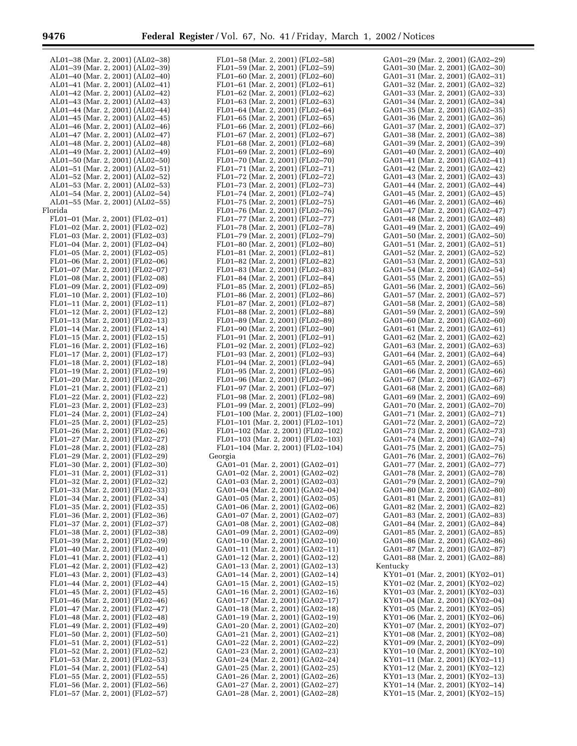п

| AL01–38 (Mar. 2, 2001) (AL02–38) | FL01–58 (Mar. 2, 2001) (FL02–58) |
|----------------------------------|----------------------------------|
|                                  |                                  |
| AL01-39 (Mar. 2, 2001) (AL02-39) | FL01-59 (Mar. 2, 2001) (FL02-59) |
| AL01–40 (Mar. 2, 2001) (AL02–40) | FL01–60 (Mar. 2, 2001) (FL02–60) |
| AL01-41 (Mar. 2, 2001) (AL02-41) | FL01-61 (Mar. 2, 2001) (FL02-61) |
| AL01-42 (Mar. 2, 2001) (AL02-42) | FL01-62 (Mar. 2, 2001) (FL02-62) |
| AL01–43 (Mar. 2, 2001) (AL02–43) | FL01-63 (Mar. 2, 2001) (FL02-63) |
| AL01–44 (Mar. 2, 2001) (AL02–44) | FL01-64 (Mar. 2, 2001) (FL02-64) |
| AL01-45 (Mar. 2, 2001) (AL02-45) | FL01-65 (Mar. 2, 2001) (FL02-65) |
|                                  |                                  |
| AL01–46 (Mar. 2, 2001) (AL02–46) | FL01-66 (Mar. 2, 2001) (FL02-66) |
| AL01–47 (Mar. 2, 2001) (AL02–47) | FL01-67 (Mar. 2, 2001) (FL02-67) |
| AL01–48 (Mar. 2, 2001) (AL02–48) | FL01–68 (Mar. 2, 2001) (FL02–68) |
| AL01–49 (Mar. 2, 2001) (AL02–49) | FL01-69 (Mar. 2, 2001) (FL02-69) |
| AL01-50 (Mar. 2, 2001) (AL02-50) | FL01-70 (Mar. 2, 2001) (FL02-70) |
| AL01-51 (Mar. 2, 2001) (AL02-51) | FL01-71 (Mar. 2, 2001) (FL02-71) |
| AL01-52 (Mar. 2, 2001) (AL02-52) | FL01-72 (Mar. 2, 2001) (FL02-72) |
| AL01–53 (Mar. 2, 2001) (AL02–53) | FL01-73 (Mar. 2, 2001) (FL02-73) |
|                                  |                                  |
| AL01-54 (Mar. 2, 2001) (AL02-54) | FL01-74 (Mar. 2, 2001) (FL02-74) |
| AL01-55 (Mar. 2, 2001) (AL02-55) | FL01-75 (Mar. 2, 2001) (FL02-75) |
| Florida                          | FL01-76 (Mar. 2, 2001) (FL02-76) |
| FL01-01 (Mar. 2, 2001) (FL02-01) | FL01-77 (Mar. 2, 2001) (FL02-77) |
| FL01-02 (Mar. 2, 2001) (FL02-02) | FL01-78 (Mar. 2, 2001) (FL02-78) |
| FL01-03 (Mar. 2, 2001) (FL02-03) | FL01-79 (Mar. 2, 2001) (FL02-79) |
| FL01-04 (Mar. 2, 2001) (FL02-04) | FL01-80 (Mar. 2, 2001) (FL02-80) |
| FL01-05 (Mar. 2, 2001) (FL02-05) | FL01-81 (Mar. 2, 2001) (FL02-81) |
|                                  |                                  |
| FL01-06 (Mar. 2, 2001) (FL02-06) | FL01-82 (Mar. 2, 2001) (FL02-82) |
| FL01-07 (Mar. 2, 2001) (FL02-07) | FL01-83 (Mar. 2, 2001) (FL02-83) |
| FL01-08 (Mar. 2, 2001) (FL02-08) | FL01-84 (Mar. 2, 2001) (FL02-84) |
| FL01-09 (Mar. 2, 2001) (FL02-09) | FL01-85 (Mar. 2, 2001) (FL02-85) |
| FL01-10 (Mar. 2, 2001) (FL02-10) | FL01-86 (Mar. 2, 2001) (FL02-86) |
| FL01-11 (Mar. 2, 2001) (FL02-11) | FL01-87 (Mar. 2, 2001) (FL02-87) |
| FL01-12 (Mar. 2, 2001) (FL02-12) | FL01-88 (Mar. 2, 2001) (FL02-88) |
| FL01-13 (Mar. 2, 2001) (FL02-13) | FL01-89 (Mar. 2, 2001) (FL02-89) |
| FL01-14 (Mar. 2, 2001) (FL02-14) | FL01-90 (Mar. 2, 2001) (FL02-90) |
| FL01-15 (Mar. 2, 2001) (FL02-15) | FL01-91 (Mar. 2, 2001) (FL02-91) |
|                                  |                                  |
| FL01-16 (Mar. 2, 2001) (FL02-16) | FL01-92 (Mar. 2, 2001) (FL02-92) |
| FL01-17 (Mar. 2, 2001) (FL02-17) | FL01-93 (Mar. 2, 2001) (FL02-93) |
| FL01-18 (Mar. 2, 2001) (FL02-18) | FL01-94 (Mar. 2, 2001) (FL02-94) |
| FL01-19 (Mar. 2, 2001) (FL02-19) | FL01-95 (Mar. 2, 2001) (FL02-95) |
| FL01-20 (Mar. 2, 2001) (FL02-20) | FL01-96 (Mar. 2, 2001) (FL02-96) |
| FL01-21 (Mar. 2, 2001) (FL02-21) | FL01-97 (Mar. 2, 2001) (FL02-97) |
| FL01-22 (Mar. 2, 2001) (FL02-22) | FL01-98 (Mar. 2, 2001) (FL02-98) |
| FL01-23 (Mar. 2, 2001) (FL02-23) | FL01-99 (Mar. 2, 2001) (FL02-99) |
| FL01-24 (Mar. 2, 2001) (FL02-24) | FL01-100 (Mar. 2, 2001) (FL02-10 |
| FL01-25 (Mar. 2, 2001) (FL02-25) | FL01-101 (Mar. 2, 2001) (FL02-10 |
| FL01-26 (Mar. 2, 2001) (FL02-26) | FL01-102 (Mar. 2, 2001) (FL02-10 |
|                                  |                                  |
| FL01-27 (Mar. 2, 2001) (FL02-27) | FL01-103 (Mar. 2, 2001) (FL02-10 |
| FL01-28 (Mar. 2, 2001) (FL02-28) | FL01-104 (Mar. 2, 2001) (FL02-10 |
| FL01-29 (Mar. 2, 2001) (FL02-29) | Georgia                          |
| FL01-30 (Mar. 2, 2001) (FL02-30) | GA01-01 (Mar. 2, 2001) (GA02-01  |
| FL01-31 (Mar. 2, 2001) (FL02-31) | GA01-02 (Mar. 2, 2001) (GA02-02  |
| FL01-32 (Mar. 2, 2001) (FL02-32) | GA01-03 (Mar. 2, 2001) (GA02-03  |
| FL01-33 (Mar. 2, 2001) (FL02-33) | GA01-04 (Mar. 2, 2001) (GA02-04  |
| FL01-34 (Mar. 2, 2001) (FL02-34) | GA01-05 (Mar. 2, 2001) (GA02-05  |
| FL01-35 (Mar. 2, 2001) (FL02-35) | GA01-06 (Mar. 2, 2001) (GA02-06  |
| FL01-36 (Mar. 2, 2001) (FL02-36) | GA01-07 (Mar. 2, 2001) (GA02-07  |
| FL01-37 (Mar. 2, 2001) (FL02-37) | GA01-08 (Mar. 2, 2001) (GA02-08  |
| FL01-38 (Mar. 2, 2001) (FL02-38) | GA01-09 (Mar. 2, 2001) (GA02-09  |
|                                  |                                  |
| FL01-39 (Mar. 2, 2001) (FL02-39) | GA01-10 (Mar. 2, 2001) (GA02-10  |
| FL01-40 (Mar. 2, 2001) (FL02-40) | GA01-11 (Mar. 2, 2001) (GA02-11  |
| FL01-41 (Mar. 2, 2001) (FL02-41) | GA01-12 (Mar. 2, 2001) (GA02-12  |
| FL01-42 (Mar. 2, 2001) (FL02-42) | GA01-13 (Mar. 2, 2001) (GA02-13  |
| FL01-43 (Mar. 2, 2001) (FL02-43) | GA01-14 (Mar. 2, 2001) (GA02-14  |
| FL01-44 (Mar. 2, 2001) (FL02-44) | GA01-15 (Mar. 2, 2001) (GA02-15  |
| FL01-45 (Mar. 2, 2001) (FL02-45) | GA01-16 (Mar. 2, 2001) (GA02-16  |
| FL01-46 (Mar. 2, 2001) (FL02-46) | GA01-17 (Mar. 2, 2001) (GA02-17  |
| FL01-47 (Mar. 2, 2001) (FL02-47) | GA01-18 (Mar. 2, 2001) (GA02-18  |
| FL01-48 (Mar. 2, 2001) (FL02-48) | GA01-19 (Mar. 2, 2001) (GA02-19  |
| FL01-49 (Mar. 2, 2001) (FL02-49) | GA01-20 (Mar. 2, 2001) (GA02-20  |
| FL01-50 (Mar. 2, 2001) (FL02-50) | GA01-21 (Mar. 2, 2001) (GA02-21  |
|                                  |                                  |
| FL01-51 (Mar. 2, 2001) (FL02-51) | GA01-22 (Mar. 2, 2001) (GA02-22  |
| FL01-52 (Mar. 2, 2001) (FL02-52) | GA01-23 (Mar. 2, 2001) (GA02-23  |
| FL01-53 (Mar. 2, 2001) (FL02-53) | GA01-24 (Mar. 2, 2001) (GA02-24  |
| FL01-54 (Mar. 2, 2001) (FL02-54) | GA01-25 (Mar. 2, 2001) (GA02-25  |
| FL01-55 (Mar. 2, 2001) (FL02-55) | GA01-26 (Mar. 2, 2001) (GA02-26  |
| FL01-56 (Mar. 2, 2001) (FL02-56) | GA01-27 (Mar. 2, 2001) (GA02-27  |

FL01–57 (Mar. 2, 2001) (FL02–57)

| FL01-59 (Mar. 2, 2001) (FL02-59)                                         |                           |  |      |
|--------------------------------------------------------------------------|---------------------------|--|------|
| FL01-60 (Mar. 2, 2001) (FL02-60)                                         |                           |  |      |
| FL01-61 (Mar. 2, 2001) (FL02-61)                                         |                           |  |      |
| FL01-62 (Mar. 2, 2001) (FL02-62)                                         |                           |  |      |
|                                                                          |                           |  |      |
| FL01-63 (Mar. 2, 2001) (FL02-63)                                         |                           |  |      |
| FL01-64 (Mar. 2, 2001) (FL02-64)                                         |                           |  |      |
| FL01-65 (Mar. 2, 2001) (FL02-65)                                         |                           |  |      |
| FL01-66 (Mar. 2, 2001) (FL02-66)                                         |                           |  |      |
| FL01-67 (Mar. 2, 2001) (FL02-67)                                         |                           |  |      |
| FL01-68 (Mar. 2, 2001) (FL02-68)                                         |                           |  |      |
| FL01-69 (Mar. 2, 2001) (FL02-69)                                         |                           |  |      |
|                                                                          |                           |  |      |
| FL01-70 (Mar. 2, 2001) (FL02-70)                                         |                           |  |      |
| FL01-71 (Mar. 2, 2001) (FL02-71)                                         |                           |  |      |
| FL01-72 (Mar. 2, 2001) (FL02-72)                                         |                           |  |      |
| FL01-73 (Mar. 2, 2001) (FL02-73)                                         |                           |  |      |
| FL01-74 (Mar. 2, 2001) (FL02-74)                                         |                           |  |      |
| FL01-75 (Mar. 2, 2001) (FL02-                                            |                           |  | -75) |
| FL01-                                                                    | -76 (Mar. 2, 2001) (FL02- |  | -76) |
|                                                                          |                           |  | -77) |
| FL01-77 (Mar. 2, 2001) (FL02-<br>FL01-78 (Mar. 2, 2001) (FL02-           |                           |  |      |
|                                                                          |                           |  | -78) |
| FL01-79 (Mar. 2, 2001) (FL02-79)                                         |                           |  |      |
| FL01-80 (Mar. 2, 2001) (FL02-80)                                         |                           |  |      |
| FL01-81 (Mar. 2, 2001) (FL02-81)                                         |                           |  |      |
| FL01-82 (Mar. 2, 2001) (FL02-82)                                         |                           |  |      |
| FL01-83 (Mar. 2, 2001) (FL02-83)                                         |                           |  |      |
| FL01-84 (Mar. 2, 2001) (FL02-84)                                         |                           |  |      |
|                                                                          |                           |  |      |
| FL01-85 (Mar. 2, 2001) (FL02-85)                                         |                           |  |      |
| FL01-86 (Mar. 2, 2001) (FL02-86)                                         |                           |  |      |
| $FL01-87$ (Mar. 2, 2001) ( $FL02-87$ )                                   |                           |  |      |
| FL01-88 (Mar. 2, 2001) (FL02-88)                                         |                           |  |      |
| FL01-89 (Mar. 2, 2001) (FL02-89)                                         |                           |  |      |
| FL01-90 (Mar. 2, 2001) (FL02-90)                                         |                           |  |      |
|                                                                          |                           |  |      |
| FL01-91 (Mar. 2, 2001) (FL02-91)                                         |                           |  |      |
| FL01-92 (Mar. 2, 2001) (FL02-92)                                         |                           |  |      |
| FL01-93 (Mar. 2, 2001) (FL02-93)                                         |                           |  |      |
| FL01-94 (Mar. 2, 2001) (FL02-94)                                         |                           |  |      |
| FL01-95 (Mar. 2, 2001) (FL02-95)                                         |                           |  |      |
| FL01-96 (Mar. 2, 2001) (FL02-96)                                         |                           |  |      |
| FL01-97 (Mar. 2, 2001) (FL02-97)                                         |                           |  |      |
| FL01-98 (Mar. 2, 2001) (FL02-98)                                         |                           |  |      |
|                                                                          |                           |  |      |
| FL01-99 (Mar. 2, 2001) (FL02-99)<br>FL01-100 (Mar. 2, 2001) (FL02-100)   |                           |  |      |
|                                                                          |                           |  |      |
| FL01-101 (Mar. 2, 2001) (FL02-101)<br>FL01-102 (Mar. 2, 2001) (FL02-102) |                           |  |      |
|                                                                          |                           |  |      |
| FL01-103 (Mar. 2, 2001) (FL02-103)<br>FL01-104 (Mar. 2, 2001) (FL02-104) |                           |  |      |
|                                                                          |                           |  |      |
| Georgia                                                                  |                           |  |      |
|                                                                          |                           |  |      |
| GA01-01 (Mar. 2, 2001) (GA02-01)                                         |                           |  |      |
| GA01-02 (Mar. 2, 2001) (GA02-02)                                         |                           |  |      |
| GA01-03 (Mar. 2, 2001) (GA02-03)                                         |                           |  |      |
| GA01-04 (Mar. 2, 2001) (GA02-04)                                         |                           |  |      |
| GA01-05 (Mar. 2, 2001) (GA02-05)                                         |                           |  |      |
| GA01-06 (Mar. 2, 2001) (GA02-06)<br>GA01-07 (Mar. 2, 2001) (GA02-07)     |                           |  |      |
|                                                                          |                           |  |      |
|                                                                          |                           |  |      |
| GA01-08 (Mar. 2, 2001) (GA02-08)<br>GA01-09 (Mar. 2, 2001) (GA02-09)     |                           |  |      |
|                                                                          |                           |  |      |
| GA01-10 (Mar. 2, 2001) (GA02-10)<br>GA01-11 (Mar. 2, 2001) (GA02-11)     |                           |  |      |
|                                                                          |                           |  |      |
| GA01-12 (Mar. 2, 2001) (GA02-12)<br>GA01-13 (Mar. 2, 2001) (GA02-13)     |                           |  |      |
|                                                                          |                           |  |      |
| GA01-14 (Mar. 2, 2001) (GA02-14)<br>GA01-15 (Mar. 2, 2001) (GA02-15)     |                           |  |      |
|                                                                          |                           |  |      |
|                                                                          |                           |  |      |
| GA01-16 (Mar. 2, 2001) (GA02-16)<br>GA01-17 (Mar. 2, 2001) (GA02-17)     |                           |  |      |
|                                                                          |                           |  |      |
|                                                                          |                           |  |      |
| GA01-18 (Mar. 2, 2001) (GA02-18)<br>GA01-19 (Mar. 2, 2001) (GA02-19)     |                           |  |      |
| GA01-20 (Mar. 2, 2001) (GA02-20)                                         |                           |  |      |
| GA01-21 (Mar. 2, 2001) (GA02-21)                                         |                           |  |      |
|                                                                          |                           |  |      |
| GA01-22 (Mar. 2, 2001) (GA02-22)<br>GA01-23 (Mar. 2, 2001) (GA02-23)     |                           |  |      |
|                                                                          |                           |  |      |
| GA01-24 (Mar. 2, 2001) (GA02-24)                                         |                           |  |      |
| GA01-25 (Mar. 2, 2001) (GA02-25)                                         |                           |  |      |
|                                                                          |                           |  |      |
| GA01-26 (Mar. 2, 2001) (GA02-26)<br>GA01-27 (Mar. 2, 2001) (GA02-27)     |                           |  |      |
| GA01-28 (Mar. 2, 2001) (GA02-28)                                         |                           |  |      |
|                                                                          |                           |  |      |

| GA01-29 (Mar. 2, 2001) (GA02-29)                                     |      |
|----------------------------------------------------------------------|------|
| GA01-30 (Mar. 2, 2001) (GA02-30)                                     |      |
| GA01-31 (Mar. 2, 2001) (GA02-31)                                     |      |
| GA01-32 (Mar. 2, 2001) (GA02-32)                                     |      |
| GA01-33 (Mar. 2, 2001) (GA02-33)                                     |      |
| GA01-34 (Mar. 2, 2001) (GA02-34)                                     |      |
| -35 (Mar. 2, 2001) (GA02-<br>GA01-                                   | -35) |
| GA01-36 (Mar. 2, 2001) (GA02-36)                                     |      |
| -37 (Mar. 2, 2001) (GA02-<br>GA01-                                   | -37) |
| GA01–38 (Mar. 2, 2001) (GA02–38)<br>GA01-39 (Mar. 2, 2001) (GA02-39) |      |
| GA01-40 (Mar. 2, 2001) (GA02-40)                                     |      |
| GA01-41 (Mar. 2, 2001) (GA02-41)                                     |      |
| GA01-42 (Mar. 2, 2001) (GA02-42)                                     |      |
| GA01-43 (Mar. 2, 2001) (GA02-43)                                     |      |
| GA01-44 (Mar. 2, 2001) (GA02-44)                                     |      |
| GA01-45 (Mar. 2, 2001) (GA02-45)                                     |      |
| GA01-46 (Mar. 2, 2001) (GA02-46)                                     |      |
| GA01-47 (Mar. 2, 2001) (GA02-47)                                     |      |
| GA01-48 (Mar. 2, 2001) (GA02-48)                                     |      |
| GA01-49 (Mar. 2, 2001) (GA02-49)                                     |      |
| GA01-50 (Mar. 2, 2001) (GA02-50)                                     |      |
| GA01-51 (Mar. 2, 2001) (GA02-51)                                     |      |
| GA01-52 (Mar. 2, 2001) (GA02-52)                                     |      |
| GA01-53 (Mar. 2, 2001) (GA02-53)                                     |      |
| GA01-54 (Mar. 2, 2001) (GA02-54)                                     |      |
| GA01-55 (Mar. 2, 2001) (GA02-55)                                     |      |
| GA01-56 (Mar. 2, 2001) (GA02-56)                                     |      |
| GA01-57 (Mar. 2, 2001) (GA02-57)                                     |      |
| GA01-58 (Mar. 2, 2001) (GA02-58)                                     |      |
| GA01-59 (Mar. 2, 2001) (GA02-59)                                     |      |
| GA01-60 (Mar. 2, 2001) (GA02-60)                                     |      |
| GA01-61 (Mar. 2, 2001) (GA02-61)                                     |      |
| GA01-62 (Mar. 2, 2001) (GA02-62)                                     |      |
| GA01-63 (Mar. 2, 2001) (GA02-63)                                     |      |
| GA01-64 (Mar. 2, 2001) (GA02-64)                                     |      |
| GA01-65 (Mar. 2, 2001) (GA02-65)                                     |      |
| GA01–66 (Mar. 2, 2001) (GA02–66)                                     |      |
| GA01-67 (Mar. 2, 2001) (GA02-67)                                     |      |
| GA01-68 (Mar. 2, 2001) (GA02-68)                                     |      |
| GA01-69 (Mar. 2, 2001) (GA02-69)                                     |      |
| GA01-70 (Mar. 2, 2001) (GA02-70)                                     |      |
| GA01-71 (Mar. 2, 2001) (GA02-71)                                     |      |
| GA01-72 (Mar. 2, 2001) (GA02-72)                                     |      |
| GA01-73 (Mar. 2, 2001) (GA02-73)                                     |      |
| GA01-74 (Mar. 2, 2001) (GA02-74)                                     |      |
| GA01-75 (Mar. 2, 2001) (GA02-75)                                     |      |
| GA01-76 (Mar. 2, 2001) (GA02-76)                                     |      |
| GA01-77 (Mar. 2, 2001) (GA02-77)<br>GA01-78 (Mar. 2, 2001) (GA02-78) |      |
| GA01-79 (Mar. 2, 2001) (GA02-79)                                     |      |
| GA01-80 (Mar. 2, 2001) (GA02-80)                                     |      |
| GA01-81 (Mar. 2, 2001) (GA02-81)                                     |      |
| GA01-82 (Mar. 2, 2001) (GA02-82)                                     |      |
| GA01-83 (Mar. 2, 2001) (GA02-83)                                     |      |
| GA01-84 (Mar. 2, 2001) (GA02-84)                                     |      |
| GA01-85 (Mar. 2, 2001) (GA02-85)                                     |      |
| GA01-86 (Mar. 2, 2001) (GA02-86)                                     |      |
| GA01-87 (Mar. 2, 2001) (GA02-87)                                     |      |
| GA01-88 (Mar. 2, 2001) (GA02-88)                                     |      |
| Kentucky                                                             |      |
| KY01–01 (Mar. 2, 2001) (KY02–01)                                     |      |
| KY01-02 (Mar. 2, 2001) (KY02-02)                                     |      |
| KY01-03 (Mar. 2, 2001) (KY02-03)                                     |      |
| KY01-04 (Mar. 2, 2001) (KY02-04)                                     |      |
| KY01-05 (Mar. 2, 2001) (KY02-05)                                     |      |
| KY01-06 (Mar. 2, 2001) (KY02-06)                                     |      |
| KY01–07 (Mar. 2, 2001) (KY02–07)                                     |      |
| KY01-08 (Mar. 2, 2001) (KY02-08)                                     |      |
| KY01-09 (Mar. 2, 2001) (KY02-09)                                     |      |
| KY01-10 (Mar. 2, 2001) (KY02-10)                                     |      |
| KY01-11 (Mar. 2, 2001) (KY02-11)                                     |      |
| KY01-12 (Mar. 2, 2001) (KY02-12)                                     |      |
| KY01-13 (Mar. 2, 2001) (KY02-13)                                     |      |
| KY01-14 (Mar. 2, 2001) (KY02-14)                                     |      |
| KY01-15 (Mar. 2, 2001) (KY02-15)                                     |      |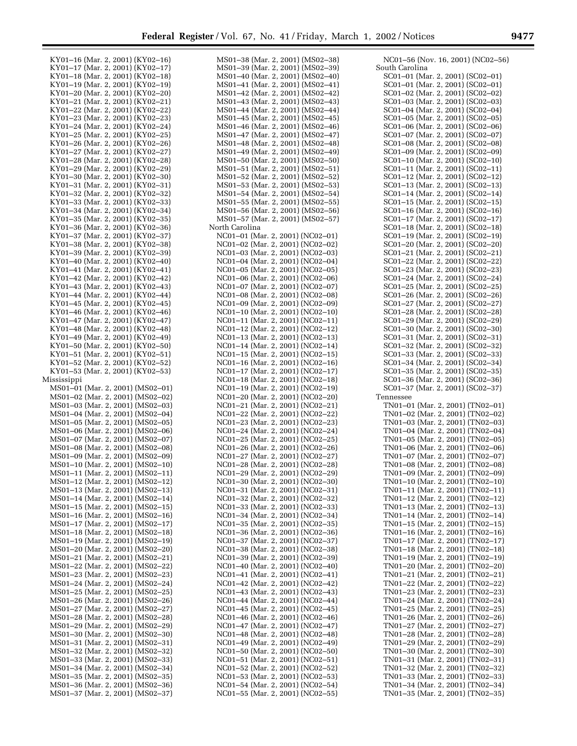| KY01-16 (Mar. 2, 2001) (KY02-16)                                     |  |
|----------------------------------------------------------------------|--|
| KY01-17 (Mar. 2, 2001) (KY02-17)                                     |  |
| KY01-18 (Mar. 2, 2001) (KY02-18)                                     |  |
| KY01-19 (Mar. 2, 2001) (KY02-19)                                     |  |
| KY01-20 (Mar. 2, 2001) (KY02-20)<br>KY01-21 (Mar. 2, 2001) (KY02-21) |  |
| KY01-22 (Mar. 2, 2001) (KY02-22)                                     |  |
| KY01-23 (Mar. 2, 2001) (KY02-23)                                     |  |
| KY01-24 (Mar. 2, 2001) (KY02-24)                                     |  |
| KY01-25 (Mar. 2, 2001) (KY02-25)                                     |  |
| KY01-26 (Mar. 2, 2001) (KY02-26)                                     |  |
| KY01-27 (Mar. 2, 2001) (KY02-27)                                     |  |
| KY01-28 (Mar. 2, 2001) (KY02-28)                                     |  |
| KY01-29 (Mar. 2, 2001) (KY02-29)<br>KY01-30 (Mar. 2, 2001) (KY02-30) |  |
| KY01-31 (Mar. 2, 2001) (KY02-31)                                     |  |
| KY01-32 (Mar. 2, 2001) (KY02-32)                                     |  |
| KY01-33 (Mar. 2, 2001) (KY02-33)                                     |  |
| KY01-34 (Mar. 2, 2001) (KY02-34)                                     |  |
| KY01-35 (Mar. 2, 2001) (KY02-35)                                     |  |
| KY01-36 (Mar. 2, 2001) (KY02-36)                                     |  |
| KY01-37 (Mar. 2, 2001) (KY02-37)                                     |  |
| KY01-38 (Mar. 2, 2001) (KY02-38)<br>KY01-39 (Mar. 2, 2001) (KY02-39) |  |
| KY01-40 (Mar. 2, 2001) (KY02-40)                                     |  |
| KY01-41 (Mar. 2, 2001) (KY02-41)                                     |  |
| KY01-42 (Mar. 2, 2001) (KY02-42)                                     |  |
| KY01-43 (Mar. 2, 2001) (KY02-43)                                     |  |
| KY01-44 (Mar. 2, 2001) (KY02-44)                                     |  |
| KY01-45 (Mar. 2, 2001) (KY02-45)                                     |  |
| KY01-46 (Mar. 2, 2001) (KY02-46)                                     |  |
| KY01-47 (Mar. 2, 2001) (KY02-47)                                     |  |
| KY01-48 (Mar. 2, 2001) (KY02-48)                                     |  |
| KY01-49 (Mar. 2, 2001) (KY02-49)<br>KY01-50 (Mar. 2, 2001) (KY02-50) |  |
| KY01-51 (Mar. 2, 2001) (KY02-51)                                     |  |
| KY01-52 (Mar. 2, 2001) (KY02-52)                                     |  |
| KY01-53 (Mar. 2, 2001) (KY02-53)                                     |  |
|                                                                      |  |
| Mississippi                                                          |  |
| MS01-01 (Mar. 2, 2001) (MS02-01)                                     |  |
| MS01-02 (Mar. 2, 2001) (MS02-02)                                     |  |
| MS01-03 (Mar. 2, 2001) (MS02-03)                                     |  |
| MS01-04 (Mar. 2, 2001) (MS02-04)                                     |  |
| MS01-05 (Mar. 2, 2001) (MS02-05)                                     |  |
| MS01-06 (Mar. 2, 2001) (MS02-06)                                     |  |
| MS01-07 (Mar. 2, 2001) (MS02-07)                                     |  |
| MS01-08 (Mar. 2, 2001) (MS02-08)                                     |  |
| MS01-09 (Mar. 2, 2001) (MS02-09)                                     |  |
| MS01-10 (Mar. 2, 2001) (MS02-10)                                     |  |
| MS01-11 (Mar. 2, 2001) (MS02-11)<br>MS01-12 (Mar. 2, 2001) (MS02-12) |  |
| MS01-13 (Mar. 2, 2001) (MS02-13)                                     |  |
| MS01-14 (Mar. 2, 2001) (MS02-14)                                     |  |
| MS01-15 (Mar. 2, 2001) (MS02-15)                                     |  |
| MS01-16 (Mar. 2, 2001) (MS02-16)                                     |  |
| MS01-17 (Mar. 2, 2001) (MS02-17)                                     |  |
| MS01-18 (Mar. 2, 2001) (MS02-18)                                     |  |
| MS01-19 (Mar. 2, 2001) (MS02-19)                                     |  |
| MS01-20 (Mar. 2, 2001) (MS02-20)                                     |  |
| MS01-21 (Mar. 2, 2001) (MS02-21)                                     |  |
| MS01-22 (Mar. 2, 2001) (MS02-22)<br>MS01-23 (Mar. 2, 2001) (MS02-23) |  |
| MS01-24 (Mar. 2, 2001) (MS02-24)                                     |  |
| MS01-25 (Mar. 2, 2001) (MS02-25)                                     |  |
| MS01-26 (Mar. 2, 2001) (MS02-26)                                     |  |
| MS01-27 (Mar. 2, 2001) (MS02-27)                                     |  |
| MS01-28 (Mar. 2, 2001) (MS02-28)                                     |  |
| MS01-29 (Mar. 2, 2001) (MS02-29)                                     |  |
| MS01-30 (Mar. 2, 2001) (MS02-30)                                     |  |
| MS01-31 (Mar. 2, 2001) (MS02-31)                                     |  |
| MS01-32 (Mar. 2, 2001) (MS02-32)<br>MS01-33 (Mar. 2, 2001) (MS02-33) |  |
| MS01-34 (Mar. 2, 2001) (MS02-34)                                     |  |
| MS01-35 (Mar. 2, 2001) (MS02-35)                                     |  |
| MS01-36 (Mar. 2, 2001) (MS02-36)<br>MS01-37 (Mar. 2, 2001) (MS02-37) |  |

|                |  |  | MS01-38 (Mar. 2, 2001) (MS02-38)                                     |
|----------------|--|--|----------------------------------------------------------------------|
|                |  |  | MS01–39 (Mar. 2, 2001) (MS02–39)                                     |
|                |  |  |                                                                      |
|                |  |  | MS01-40 (Mar. 2, 2001) (MS02-40)                                     |
| MS01–41        |  |  | (Mar. 2, 2001) (MS02-41)                                             |
|                |  |  | MS01-42 (Mar. 2, 2001) (MS02-42)                                     |
|                |  |  | MS01-43 (Mar. 2, 2001) (MS02-43)                                     |
|                |  |  |                                                                      |
|                |  |  | MS01-44 (Mar. 2, 2001) (MS02-44)                                     |
|                |  |  | MS01-45 (Mar. 2, 2001) (MS02-45)                                     |
|                |  |  | MS01-46 (Mar. 2, 2001) (MS02-46)                                     |
|                |  |  |                                                                      |
|                |  |  | MS01–47 (Mar. 2, 2001) (MS02–47)                                     |
|                |  |  | MS01-48 (Mar. 2, 2001) (MS02-48)                                     |
|                |  |  | MS01-49 (Mar. 2, 2001) (MS02-49)                                     |
|                |  |  | MS01-50 (Mar. 2, 2001) (MS02-50)                                     |
|                |  |  |                                                                      |
| MS01–51        |  |  | (Mar. 2, 2001) (MS02-51)                                             |
|                |  |  | MS01-52 (Mar. 2, 2001) (MS02-52)                                     |
|                |  |  | MS01-53 (Mar. 2, 2001) (MS02-53)                                     |
|                |  |  | MS01-54 (Mar. 2, 2001) (MS02-54)                                     |
|                |  |  |                                                                      |
|                |  |  | MS01-55 (Mar. 2, 2001) (MS02-55)                                     |
|                |  |  | MS01-56 (Mar. 2, 2001) (MS02-56)                                     |
|                |  |  | MS01-57 (Mar. 2, 2001) (MS02-57)                                     |
| North Carolina |  |  |                                                                      |
|                |  |  |                                                                      |
|                |  |  | NC01-01 (Mar. 2, 2001) (NC02-01)                                     |
|                |  |  | NC01-02 (Mar. 2, 2001) (NC02-02)                                     |
|                |  |  | NC01-03 (Mar. 2, 2001) (NC02-03)                                     |
|                |  |  |                                                                      |
|                |  |  | NC01-04 (Mar. 2, 2001) (NC02-04)                                     |
|                |  |  | NC01-05 (Mar. 2, 2001) (NC02-05)                                     |
|                |  |  | NC01-06 (Mar. 2, 2001) (NC02-06)                                     |
|                |  |  | NC01-07 (Mar. 2, 2001) (NC02-07)                                     |
|                |  |  |                                                                      |
|                |  |  | NC01-08 (Mar. 2, 2001) (NC02-08)                                     |
|                |  |  | NC01-09 (Mar. 2, 2001) (NC02-09)                                     |
|                |  |  | NC01-10 (Mar. 2, 2001) (NC02-10)                                     |
|                |  |  | NC01-11 (Mar. 2, 2001) (NC02-11)                                     |
|                |  |  |                                                                      |
|                |  |  | NC01-12 (Mar. 2, 2001) (NC02-12)                                     |
|                |  |  | NC01-13 (Mar. 2, 2001) (NC02-13)                                     |
|                |  |  | NC01-14 (Mar. 2, 2001) (NC02-14)                                     |
|                |  |  |                                                                      |
|                |  |  | NC01-15 (Mar. 2, 2001) (NC02-15)                                     |
|                |  |  | NC01-16 (Mar. 2, 2001) (NC02-16)                                     |
|                |  |  | NC01-17 (Mar. 2, 2001) (NC02-17)                                     |
|                |  |  | NC01-18 (Mar. 2, 2001) (NC02-18)                                     |
|                |  |  |                                                                      |
|                |  |  | NC01-19 (Mar. 2, 2001) (NC02-19)                                     |
|                |  |  | NC01-20 (Mar. 2, 2001) (NC02-20)                                     |
|                |  |  | NC01-21 (Mar. 2, 2001) (NC02-21)                                     |
|                |  |  |                                                                      |
|                |  |  | NC01-22 (Mar. 2, 2001) (NC02-22)                                     |
|                |  |  | NC01-23 (Mar. 2, 2001) (NC02-23)                                     |
|                |  |  | NC01-24 (Mar. 2, 2001) (NC02-24)                                     |
|                |  |  | NC01-25 (Mar. 2, 2001) (NC02-25)                                     |
|                |  |  |                                                                      |
|                |  |  | NC01-26 (Mar. 2, 2001) (NC02-26)                                     |
|                |  |  | NC01-27 (Mar. 2, 2001) (NC02-27)                                     |
|                |  |  | NC01-28 (Mar. 2, 2001) (NC02-28)                                     |
|                |  |  | NC01-29 (Mar. 2, 2001) (NC02-                                        |
|                |  |  | -29)                                                                 |
|                |  |  | NC01-30 (Mar. 2, 2001) (NC02-30)                                     |
|                |  |  | NC01-31 (Mar. 2, 2001) (NC02-31)                                     |
|                |  |  | NC01-32 (Mar. 2, 2001) (NC02-32)                                     |
|                |  |  | NC01-33 (Mar. 2, 2001) (NC02-33)                                     |
|                |  |  |                                                                      |
|                |  |  | NC01-34 (Mar. 2, 2001) (NC02-34)                                     |
|                |  |  | NC01-35 (Mar. 2, 2001) (NC02-35)                                     |
|                |  |  | NC01-36 (Mar. 2, 2001) (NC02-36)                                     |
|                |  |  | NC01-37 (Mar. 2, 2001) (NC02-37)                                     |
|                |  |  |                                                                      |
|                |  |  | NC01-38 (Mar. 2, 2001) (NC02-38)                                     |
|                |  |  | NC01-39 (Mar. 2, 2001) (NC02-39)                                     |
|                |  |  | NC01-40 (Mar. 2, 2001) (NC02-40)                                     |
|                |  |  |                                                                      |
|                |  |  | NC01-41 (Mar. 2, 2001) (NC02-41)                                     |
|                |  |  | NC01-42 (Mar. 2, 2001) (NC02-42)                                     |
|                |  |  | NC01-43 (Mar. 2, 2001) (NC02-43)                                     |
|                |  |  |                                                                      |
|                |  |  | NC01-44 (Mar. 2, 2001) (NC02-44)                                     |
|                |  |  | NC01-45 (Mar. 2, 2001) (NC02-45)                                     |
|                |  |  | NC01-46 (Mar. 2, 2001) (NC02-46)                                     |
|                |  |  | NC01-47 (Mar. 2, 2001) (NC02-47)                                     |
|                |  |  |                                                                      |
|                |  |  | NC01-48 (Mar. 2, 2001) (NC02-48)                                     |
|                |  |  | NC01-49 (Mar. 2, 2001) (NC02-49)                                     |
|                |  |  | NC01-50 (Mar. 2, 2001) (NC02-50)                                     |
|                |  |  | NC01-51 (Mar. 2, 2001) (NC02-51)                                     |
|                |  |  |                                                                      |
|                |  |  | NC01-52 (Mar. 2, 2001) (NC02-52)<br>NC01-53 (Mar. 2, 2001) (NC02-53) |
|                |  |  |                                                                      |
|                |  |  | NC01-54 (Mar. 2, 2001) (NC02-54)                                     |
|                |  |  | NC01-55 (Mar. 2, 2001) (NC02-55)                                     |
|                |  |  |                                                                      |

| NC01-56 (Nov. 16, 2001) (NC02-56)                                       |
|-------------------------------------------------------------------------|
| South Carolina                                                          |
| SC01-01 (Mar. 2, 2001) (SC02-01)                                        |
| SC01-01 (Mar. 2, 2001) (SC02-01)                                        |
| SC01-02 (Mar. 2, 2001) (SC02-02)                                        |
| SC01-03 (Mar. 2, 2001) (SC02-03)                                        |
| SC01-04 (Mar. 2, 2001) (SC02-04)                                        |
| SC01-05 (Mar. 2, 2001) (SC02-05)                                        |
| SC01-06 (Mar. 2, 2001) (SC02-06)                                        |
| SC01-07 (Mar. 2, 2001) (SC02-07)                                        |
| SC01-08 (Mar. 2, 2001) (SC02-08)                                        |
| SC01-09 (Mar. 2, 2001) (SC02-09)                                        |
| SC01-10 (Mar. 2, 2001) (SC02-10)<br>SC01-11 (Mar. 2, 2001) (SC02-11)    |
| SC01-12 (Mar. 2, 2001) (SC02-12)                                        |
| SC01-13 (Mar. 2, 2001) (SC02-13)                                        |
| SC01-14 (Mar. 2, 2001) (SC02-14)                                        |
| SC01-15 (Mar. 2, 2001) (SC02-15)                                        |
| SC01-16 (Mar. 2, 2001) (SC02-16)                                        |
| SC01-17 (Mar. 2, 2001) (SC02-17)                                        |
| SC01-18 (Mar. 2, 2001) (SC02-18)                                        |
| SC01-19 (Mar. 2, 2001) (SC02-19)                                        |
| SC01-20 (Mar. 2, 2001) (SC02-20)                                        |
| SC01-21 (Mar. 2, 2001) (SC02-21)                                        |
| SC01-22 (Mar. 2, 2001) (SC02-22)                                        |
| SC01-23 (Mar. 2, 2001) (SC02-23)                                        |
| SC01-24 (Mar. 2, 2001) (SC02-24)                                        |
| SC01-25 (Mar. 2, 2001) (SC02-25)                                        |
| SC01-26 (Mar. 2, 2001) (SC02-26)                                        |
| SC01-27 (Mar. 2, 2001) (SC02-27)                                        |
| SC01-28 (Mar. 2, 2001) (SC02-28)                                        |
| SC01-29 (Mar. 2, 2001) (SC02-29)                                        |
| SC01-30 (Mar. 2, 2001) (SC02-30)                                        |
| SC01-31 (Mar. 2, 2001) (SC02-31)                                        |
| SC01-32 (Mar. 2, 2001) (SC02-32)                                        |
| SC01-33 (Mar. 2, 2001) (SC02-33)                                        |
| SC01-34 (Mar. 2, 2001) (SC02-34)<br>SC01-35 (Mar. 2, 2001) (SC02-35)    |
| SC01-36 (Mar. 2, 2001) (SC02-36)                                        |
| SC01-37 (Mar. 2, 2001) (SC02-37)                                        |
| Tennessee                                                               |
| TN01-01 (Mar. 2, 2001) (TN02-01)                                        |
| TN01-02 (Mar. 2, 2001) (TN02-02)                                        |
| TN01-03 (Mar. 2, 2001) (TN02-03)                                        |
| TN01-04 (Mar. 2, 2001) (TN02-04)                                        |
| TN01-05 (Mar. 2, 2001) (TN02-05)                                        |
| TN01-06 (Mar. 2, 2001) (TN02-06)                                        |
| TN01-07 (Mar. 2, 2001) (TN02-07)                                        |
| TN01-08 (Mar. 2, 2001) (TN02-08)                                        |
| TN01-09 (Mar. 2, 2001) (TN02-09)                                        |
| TN01-10 (Mar. 2, 2001) (TN02-10)                                        |
| TN01-11<br>(Mar. 2, 2001) (TN02-11)                                     |
| TN01-12 (Mar. 2, 2001) (TN02-12)<br>TN01-13 (Mar. 2, 2001) (TN02-13)    |
| TN01-14 (Mar. 2, 2001) (TN02-14)                                        |
| $TN01-15$<br>(Mar. 2, 2001) (TN02-15)                                   |
| TN01-16<br>$(Mar. 2, 2001)$ (TN02-16)                                   |
| TN01-17<br>(Mar. 2, 2001) (TN02-17)                                     |
| TN01-18<br>(Mar. 2, 2001) (TN02-18)                                     |
| TN01-19 (Mar. 2, 2001) (TN02-19)                                        |
| TN01-20 (Mar. 2, 2001) (TN02-20)                                        |
| $TN01-21$<br>(Mar. 2, 2001) (TN02-21)                                   |
| TN01-22<br>(Mar. 2, 2001) (TN02-22)                                     |
| TN01-23<br>(Mar. 2, 2001) (TN02-23)                                     |
| TN01-24 (Mar. 2, 2001) (TN02-24)                                        |
| $TN01-25$<br>(Mar. 2, 2001) (TN02-25)                                   |
| TN01-26<br>(Mar. 2, 2001) (TN02-26)                                     |
| TN01-27<br>(Mar. 2, 2001) (TN02-27)                                     |
| TN01-28 (Mar. 2, 2001) (TN02-28)                                        |
| TN01-29 (Mar. 2, 2001) (TN02-29)                                        |
| TN01-30 (Mar. 2, 2001) (TN02-30)<br>TN01-31<br>(Mar. 2, 2001) (TN02-31) |
|                                                                         |
| TN01-32 (Mar. 2, 2001) (TN02-32)<br>TN01-33 (Mar. 2, 2001) (TN02-33)    |
| TN01-34 (Mar. 2, 2001) (TN02-34)                                        |
| TN01-35 (Mar. 2, 2001) (TN02-35)                                        |
|                                                                         |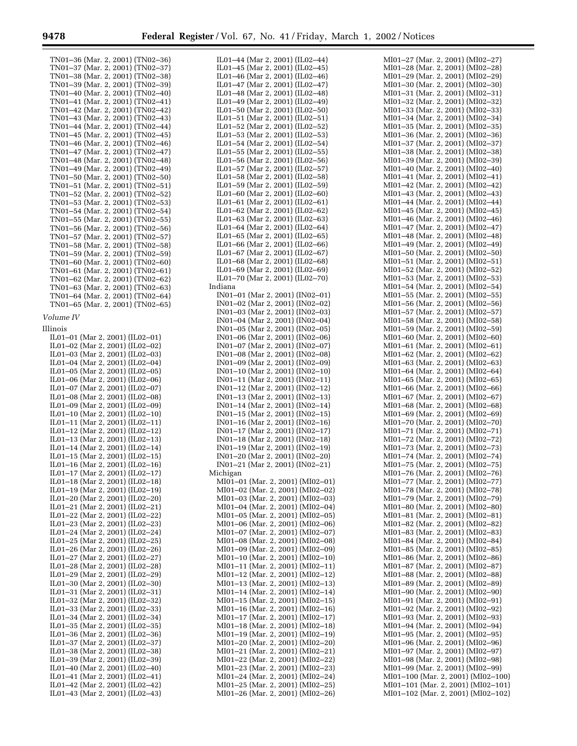۳

IL01–44 (Mar 2, 2001) (IL02–44)

| TN01–36 (Mar. 2, 2001) (TN02–36)<br>TN01-37 (Mar. 2, 2001) (TN02-37)<br>TN01-38 (Mar. 2, 2001) (TN02-38)<br>TN01-39 (Mar. 2, 2001) (TN02-39)<br>TN01-40 (Mar. 2, 2001) (TN02-40)<br>TN01-41 (Mar. 2, 2001) (TN02-41)<br>TN01-42 (Mar. 2, 2001) (TN02-42)<br>TN01-43 (Mar. 2, 2001) (TN02-43)<br>TN01-44 (Mar. 2, 2001) (TN02-44)<br>TN01-45 (Mar. 2, 2001) (TN02-45)<br>TN01-46 (Mar. 2, 2001) (TN02-46)<br>TN01-47 (Mar. 2, 2001) (TN02-47)<br>TN01-48 (Mar. 2, 2001) (TN02-48)<br>TN01-49 (Mar. 2, 2001) (TN02-49)<br>TN01-50 (Mar. 2, 2001) (TN02-50)<br>TN01-51 (Mar. 2, 2001) (TN02-51)<br>TN01-52 (Mar. 2, 2001) (TN02-52)<br>TN01-53 (Mar. 2, 2001) (TN02-53)<br>TN01-54 (Mar. 2, 2001) (TN02-54)<br>TN01-55 (Mar. 2, 2001) (TN02-55)<br>TN01-56 (Mar. 2, 2001) (TN02-56)<br>TN01-57 (Mar. 2, 2001) (TN02-57)<br>TN01-58 (Mar. 2, 2001) (TN02-58)<br>TN01-59 (Mar. 2, 2001) (TN02-59)<br>TN01-60 (Mar. 2, 2001) (TN02-60)<br>TN01-61 (Mar. 2, 2001) (TN02-61)<br>TN01-62 (Mar. 2, 2001) (TN02-62)<br>TN01-63 (Mar. 2, 2001) (TN02-63)<br>TN01-64 (Mar. 2, 2001) (TN02-64)<br>TN01-65 (Mar. 2, 2001) (TN02-65) |
|----------------------------------------------------------------------------------------------------------------------------------------------------------------------------------------------------------------------------------------------------------------------------------------------------------------------------------------------------------------------------------------------------------------------------------------------------------------------------------------------------------------------------------------------------------------------------------------------------------------------------------------------------------------------------------------------------------------------------------------------------------------------------------------------------------------------------------------------------------------------------------------------------------------------------------------------------------------------------------------------------------------------------------------------------------------------------------------------------------------------|
| Volume IV                                                                                                                                                                                                                                                                                                                                                                                                                                                                                                                                                                                                                                                                                                                                                                                                                                                                                                                                                                                                                                                                                                            |
| Illinois                                                                                                                                                                                                                                                                                                                                                                                                                                                                                                                                                                                                                                                                                                                                                                                                                                                                                                                                                                                                                                                                                                             |
| IL01-01 (Mar 2, 2001) (IL02-01)<br>IL01-02 (Mar 2, 2001) (IL02-02)<br>IL01-03 (Mar 2, 2001) (IL02-03)<br>IL01-04 (Mar 2, 2001) (IL02-04)<br>IL01-05 (Mar 2, 2001) (IL02-05)<br>IL01-06 (Mar 2, 2001) (IL02-06)<br>IL01-07 (Mar 2, 2001) (IL02-07)<br>IL01-08 (Mar 2, 2001) (IL02-08)<br>IL01-09 (Mar 2, 2001) (IL02-09)<br>IL01-10 (Mar 2, 2001) (IL02-10)<br>IL01-11 (Mar 2, 2001) (IL02-11)<br>IL01-12 (Mar 2, 2001) (IL02-12)<br>IL01-13 (Mar 2, 2001) (IL02-13)<br>IL01-14 (Mar 2, 2001) (IL02-14)<br>IL01-15 (Mar 2, 2001) (IL02-15)<br>IL01-16 (Mar 2, 2001) (IL02-16)<br>IL01-17 (Mar 2, 2001) (IL02-17)<br>IL01-18 (Mar 2, 2001) (IL02-18)<br>IL01-19 (Mar 2, 2001) (IL02-19)<br>IL01-20 (Mar 2, 2001) (IL02-20)<br>IL01-21 (Mar 2, 2001) (IL02-21)<br>IL01-22 (Mar 2, 2001) (IL02-22)<br>IL01-23 (Mar 2, 2001) (IL02-23)<br>IL01-24 (Mar 2, 2001) (IL02-24)<br>IL01-25 (Mar 2, 2001) (IL02-25)<br>IL01-26 (Mar 2, 2001) (IL02-26)<br>IL01-27 (Mar 2, 2001) (IL02-27)<br>IL01-28 (Mar 2, 2001) (IL02-28)<br>IL01-29 (Mar 2, 2001) (IL02-29)                                                                  |
| IL01-30 (Mar 2, 2001) (IL02-30)                                                                                                                                                                                                                                                                                                                                                                                                                                                                                                                                                                                                                                                                                                                                                                                                                                                                                                                                                                                                                                                                                      |
| IL01-31 (Mar 2, 2001) (IL02-31)<br>IL01-32 (Mar 2, 2001) (IL02-32)                                                                                                                                                                                                                                                                                                                                                                                                                                                                                                                                                                                                                                                                                                                                                                                                                                                                                                                                                                                                                                                   |
| IL01-33 (Mar 2, 2001) (IL02-33)<br>IL01-34 (Mar 2, 2001) (IL02-34)                                                                                                                                                                                                                                                                                                                                                                                                                                                                                                                                                                                                                                                                                                                                                                                                                                                                                                                                                                                                                                                   |
| IL01-35 (Mar 2, 2001) (IL02-35)<br>IL01-36 (Mar 2, 2001) (IL02-36)                                                                                                                                                                                                                                                                                                                                                                                                                                                                                                                                                                                                                                                                                                                                                                                                                                                                                                                                                                                                                                                   |
| IL01-37 (Mar 2, 2001) (IL02-37)                                                                                                                                                                                                                                                                                                                                                                                                                                                                                                                                                                                                                                                                                                                                                                                                                                                                                                                                                                                                                                                                                      |
| IL01-38 (Mar 2, 2001) (IL02-38)<br>IL01-39 (Mar 2, 2001) (IL02-39)                                                                                                                                                                                                                                                                                                                                                                                                                                                                                                                                                                                                                                                                                                                                                                                                                                                                                                                                                                                                                                                   |
| IL01-40 (Mar 2, 2001) (IL02-40)<br>IL01-41 (Mar 2, 2001) (IL02-41)                                                                                                                                                                                                                                                                                                                                                                                                                                                                                                                                                                                                                                                                                                                                                                                                                                                                                                                                                                                                                                                   |
| IL01-42 (Mar 2, 2001) (IL02-42)<br>IL01-43 (Mar 2, 2001) (IL02-43)                                                                                                                                                                                                                                                                                                                                                                                                                                                                                                                                                                                                                                                                                                                                                                                                                                                                                                                                                                                                                                                   |

| IL01–45 (Mar 2, 2001) (IL02–45)                                                                                                                                                  |
|----------------------------------------------------------------------------------------------------------------------------------------------------------------------------------|
| IL01-46 (Mar 2, 2001) (IL02-46)                                                                                                                                                  |
| IL01-47 (Mar 2, 2001) (IL02-47)                                                                                                                                                  |
| -48 (Mar 2, 2001) (IL02–48)<br>IL01-                                                                                                                                             |
| IL01-49 (Mar 2, 2001) (IL02-49)                                                                                                                                                  |
|                                                                                                                                                                                  |
| IL01-50 (Mar 2, 2001) (IL02-50)                                                                                                                                                  |
| IL01-51 (Mar 2, 2001) (IL02-51)                                                                                                                                                  |
| IL01-52 (Mar 2, 2001) (IL02-52)                                                                                                                                                  |
| IL01-53 (Mar 2, 2001) (IL02-53)                                                                                                                                                  |
| IL01-54 (Mar 2, 2001) (IL02-54)                                                                                                                                                  |
| IL01-55 (Mar 2, 2001) (IL02-55)                                                                                                                                                  |
|                                                                                                                                                                                  |
| IL01-56 (Mar 2, 2001) (IL02-56)                                                                                                                                                  |
| IL01-57 (Mar 2, 2001) (IL02-57)                                                                                                                                                  |
| IL01-58 (Mar 2, 2001) (IL02-58)                                                                                                                                                  |
| IL01-59 (Mar 2, 2001) (IL02-59)                                                                                                                                                  |
| IL01-60 (Mar 2, 2001) (IL02-60)                                                                                                                                                  |
|                                                                                                                                                                                  |
| $IL01-61$ (Mar 2, 2001) (IL02-61)                                                                                                                                                |
| -62 (Mar 2, 2001) (IL02–62)<br>IL01-                                                                                                                                             |
| $1101-63$ (Mar 2, 2001) (IL02-63)<br>IL01-64 (Mar 2, 2001) (IL02-64)                                                                                                             |
|                                                                                                                                                                                  |
| IL01-65 (Mar 2, 2001) (IL02-65)<br>IL01-66 (Mar 2, 2001) (IL02-66)                                                                                                               |
|                                                                                                                                                                                  |
| IL01-67 (Mar 2, 2001) (IL02-67)<br>IL01-68 (Mar 2, 2001) (IL02-68)                                                                                                               |
|                                                                                                                                                                                  |
|                                                                                                                                                                                  |
| IL01-69 (Mar 2, 2001) (IL02-69)                                                                                                                                                  |
| IL01-70 (Mar 2, 2001) (IL02-70)                                                                                                                                                  |
| Indiana                                                                                                                                                                          |
| IN01-01 (Mar 2, 2001) (IN02-01)                                                                                                                                                  |
| IN01-02 (Mar 2, 2001) (IN02-02)                                                                                                                                                  |
|                                                                                                                                                                                  |
| IN01-03 (Mar 2, 2001) (IN02-03)                                                                                                                                                  |
| IN01-04 (Mar 2, 2001) (IN02-04)                                                                                                                                                  |
| IN01-05 (Mar 2, 2001) (IN02-05)                                                                                                                                                  |
| IN01-06 (Mar 2, 2001) (IN02-06)                                                                                                                                                  |
| IN01-07 (Mar 2, 2001) (IN02-07)                                                                                                                                                  |
| IN01-08 (Mar 2, 2001) (IN02-08)                                                                                                                                                  |
| IN01-09 (Mar 2, 2001) (IN02-09)                                                                                                                                                  |
|                                                                                                                                                                                  |
| IN01-10 (Mar 2, 2001) (IN02-10)<br>IN01-11 (Mar 2, 2001) (IN02-11)                                                                                                               |
|                                                                                                                                                                                  |
| IN01-12 (Mar 2, 2001) (IN02-12)<br>IN01-13 (Mar 2, 2001) (IN02-13)                                                                                                               |
|                                                                                                                                                                                  |
| IN01-14 (Mar 2, 2001) (IN02-14)<br>IN01-15 (Mar 2, 2001) (IN02-15)                                                                                                               |
|                                                                                                                                                                                  |
|                                                                                                                                                                                  |
| IN01-16 (Mar 2, 2001) (IN02-16)<br>IN01-17 (Mar 2, 2001) (IN02-17)                                                                                                               |
|                                                                                                                                                                                  |
| IN01-18 (Mar 2, 2001) (IN02-18)<br>IN01-19 (Mar 2, 2001) (IN02-19)                                                                                                               |
|                                                                                                                                                                                  |
| IN01-20 (Mar 2, 2001) (IN02-20)                                                                                                                                                  |
|                                                                                                                                                                                  |
| IN01-21 (Mar 2, 2001) (IN02-21)                                                                                                                                                  |
| Michigan                                                                                                                                                                         |
| MI01-01 (Mar. 2, 2001) (MI02-01)                                                                                                                                                 |
|                                                                                                                                                                                  |
|                                                                                                                                                                                  |
| MI01–02 (Mar. 2, 2001) (MI02–02)<br>MI01–03 (Mar. 2, 2001) (MI02–03)<br>MI01–04 (Mar. 2, 2001) (MI02–04)<br>MI01–05 (Mar. 2, 2001) (MI02–05)                                     |
|                                                                                                                                                                                  |
|                                                                                                                                                                                  |
| M101–03 (Mai. 2, 2001) (M102–03)<br>M101–06 (Mar. 2, 2001) (M102–06)<br>M101–07 (Mar. 2, 2001) (M102–07)<br>M101–08 (Mar. 2, 2001) (M102–08)<br>M101–09 (Mar. 2, 2001) (M102–09) |
|                                                                                                                                                                                  |
|                                                                                                                                                                                  |
|                                                                                                                                                                                  |
| MI01–10 (Mar. 2, 2001) (MI02–10)<br>MI01–11 (Mar. 2, 2001) (MI02–11)                                                                                                             |
|                                                                                                                                                                                  |
|                                                                                                                                                                                  |
| MI01-12 (Mar. 2, 2001) (MI02-12)<br>MI01-13 (Mar. 2, 2001) (MI02-13)                                                                                                             |
|                                                                                                                                                                                  |
|                                                                                                                                                                                  |
| MI01-14 (Mar. 2, 2001) (MI02-14)<br>MI01-15 (Mar. 2, 2001) (MI02-15)                                                                                                             |
|                                                                                                                                                                                  |
| MI01-16 (Mar. 2, 2001) (MI02-16)<br>MI01-17 (Mar. 2, 2001) (MI02-17)                                                                                                             |
|                                                                                                                                                                                  |
| MI01–18 (Mar. 2, 2001) (MI02–17)<br>MI01–18 (Mar. 2, 2001) (MI02–18)<br>MI01–19 (Mar. 2, 2001) (MI02–19)<br>MI01–20 (Mar. 2, 2001) (MI02–20)<br>MI01–21 (Mar. 2, 2001) (MI02–21) |
|                                                                                                                                                                                  |
|                                                                                                                                                                                  |
|                                                                                                                                                                                  |
|                                                                                                                                                                                  |
| MI01-22 (Mar. 2, 2001) (MI02-22)<br>MI01-23 (Mar. 2, 2001) (MI02-23)                                                                                                             |
|                                                                                                                                                                                  |
| MI01-24 (Mar. 2, 2001) (MI02-24)<br>MI01-25 (Mar. 2, 2001) (MI02-25)                                                                                                             |
| MI01-26 (Mar. 2, 2001) (MI02-26)                                                                                                                                                 |
|                                                                                                                                                                                  |

| MI01–27 (Mar. 2, 2001) (MI02- |  | -27)                                                                 |
|-------------------------------|--|----------------------------------------------------------------------|
|                               |  | MI01–28 (Mar. 2, 2001) (MI02–28)                                     |
|                               |  | MI01-29 (Mar. 2, 2001) (MI02-29)                                     |
|                               |  | MI01-30 (Mar. 2, 2001) (MI02-30)<br>MI01-31 (Mar. 2, 2001) (MI02-31) |
|                               |  | MI01-32 (Mar. 2, 2001) (MI02-32)                                     |
|                               |  | MI01–33 (Mar. 2, 2001) (MI02–33)                                     |
|                               |  | MI01-34 (Mar. 2, 2001) (MI02-34)                                     |
|                               |  | MI01-35 (Mar. 2, 2001) (MI02-35)                                     |
|                               |  | MI01-36 (Mar. 2, 2001) (MI02-36)                                     |
|                               |  | MI01–37 (Mar. 2, 2001) (MI02–37)                                     |
|                               |  | MI01-38 (Mar. 2, 2001) (MI02-38)                                     |
|                               |  | MI01-39 (Mar. 2, 2001) (MI02-39)<br>MI01-40 (Mar. 2, 2001) (MI02-40) |
|                               |  | MI01-41 (Mar. 2, 2001) (MI02-41)                                     |
| MI01-                         |  | -42 (Mar. 2, 2001) (MI02–42)                                         |
|                               |  | MI01-43 (Mar. 2, 2001) (MI02-43)                                     |
|                               |  | MI01–44 (Mar. 2, 2001) (MI02–44)                                     |
|                               |  | MI01-45 (Mar. 2, 2001) (MI02-45)                                     |
|                               |  | MI01-46 (Mar. 2, 2001) (MI02-46)                                     |
|                               |  | MI01-47 (Mar. 2, 2001) (MI02-47)<br>MI01-48 (Mar. 2, 2001) (MI02-48) |
|                               |  | MI01-49 (Mar. 2, 2001) (MI02-49)                                     |
|                               |  | MI01-50 (Mar. 2, 2001) (MI02-50)                                     |
|                               |  | MI01-51 (Mar. 2, 2001) (MI02-51)                                     |
|                               |  | MI01-52 (Mar. 2, 2001) (MI02-52)                                     |
|                               |  | MI01-53 (Mar. 2, 2001) (MI02-53)                                     |
|                               |  | MI01-54 (Mar. 2, 2001) (MI02-54)                                     |
|                               |  | MI01-55 (Mar. 2, 2001) (MI02-55)                                     |
|                               |  | MI01-56 (Mar. 2, 2001) (MI02-56)<br>MI01-57 (Mar. 2, 2001) (MI02-57) |
|                               |  | MI01-58 (Mar. 2, 2001) (MI02-58)                                     |
|                               |  | MI01-59 (Mar. 2, 2001) (MI02-59)                                     |
|                               |  | MI01-60 (Mar. 2, 2001) (MI02-60)                                     |
|                               |  | MI01-61 (Mar. 2, 2001) (MI02-61)                                     |
|                               |  | MI01-62 (Mar. 2, 2001) (MI02-62)                                     |
|                               |  | MI01-63 (Mar. 2, 2001) (MI02-63)                                     |
|                               |  | MI01-64 (Mar. 2, 2001) (MI02-64)<br>MI01-65 (Mar. 2, 2001) (MI02-65) |
|                               |  | MI01-66 (Mar. 2, 2001) (MI02-66)                                     |
|                               |  | MI01-67 (Mar. 2, 2001) (MI02-67)                                     |
|                               |  | MI01-68 (Mar. 2, 2001) (MI02-68)                                     |
|                               |  | MI01-69 (Mar. 2, 2001) (MI02-69)                                     |
| MI01-                         |  | -70 (Mar. 2, 2001) (MI02–70)                                         |
|                               |  | MI01-71 (Mar. 2, 2001) (MI02-71)                                     |
| MI01-                         |  | -72 (Mar. 2, 2001) (MI02–72)<br>MI01-73 (Mar. 2, 2001) (MI02-73)     |
| MI01-                         |  | -74 (Mar. 2, 2001) (MI02-74)                                         |
|                               |  | MI01-75 (Mar. 2, 2001) (MI02-75)                                     |
|                               |  | MI01-76 (Mar. 2, 2001) (MI02-76)                                     |
|                               |  | MI01–77 (Mar. 2, 2001) (MI02–77)                                     |
|                               |  | MI01–78 (Mar. 2, 2001) (MI02–78)                                     |
|                               |  | MI01-79 (Mar. 2, 2001) (MI02-79)                                     |
|                               |  | MI01–80 (Mar. 2, 2001) (MI02–80)<br>MI01–81 (Mar. 2, 2001) (MI02–81) |
|                               |  | MI01-82 (Mar. 2, 2001) (MI02-82)                                     |
|                               |  | MI01-83 (Mar. 2, 2001) (MI02-83)                                     |
|                               |  | MI01-84 (Mar. 2, 2001) (MI02-84)                                     |
|                               |  | MI01-85 (Mar. 2, 2001) (MI02-85)                                     |
|                               |  | MI01-86 (Mar. 2, 2001) (MI02-86)                                     |
|                               |  | MI01-87 (Mar. 2, 2001) (MI02-87)                                     |
|                               |  | MI01-88 (Mar. 2, 2001) (MI02-88)<br>MI01–89 (Mar. 2, 2001) (MI02–89) |
|                               |  | MI01-90 (Mar. 2, 2001) (MI02-90)                                     |
|                               |  | MI01–91 (Mar. 2, 2001) (MI02–91)                                     |
|                               |  | MI01-92 (Mar. 2, 2001) (MI02-92)                                     |
|                               |  | MI01–93 (Mar. 2, 2001) (MI02–93)                                     |
|                               |  | MI01-94 (Mar. 2, 2001) (MI02-94)                                     |
|                               |  | MI01-95 (Mar. 2, 2001) (MI02-95)                                     |
|                               |  | MI01-96 (Mar. 2, 2001) (MI02-96)                                     |
|                               |  | MI01-97 (Mar. 2, 2001) (MI02-97)                                     |
|                               |  | MI01–98 (Mar. 2, 2001) (MI02–98)<br>MI01-99 (Mar. 2, 2001) (MI02-99) |
|                               |  | MI01-100 (Mar. 2, 2001) (MI02-100)                                   |
|                               |  | MI01-101 (Mar. 2, 2001) (MI02-101)                                   |
|                               |  | MI01-102 (Mar. 2, 2001) (MI02-102)                                   |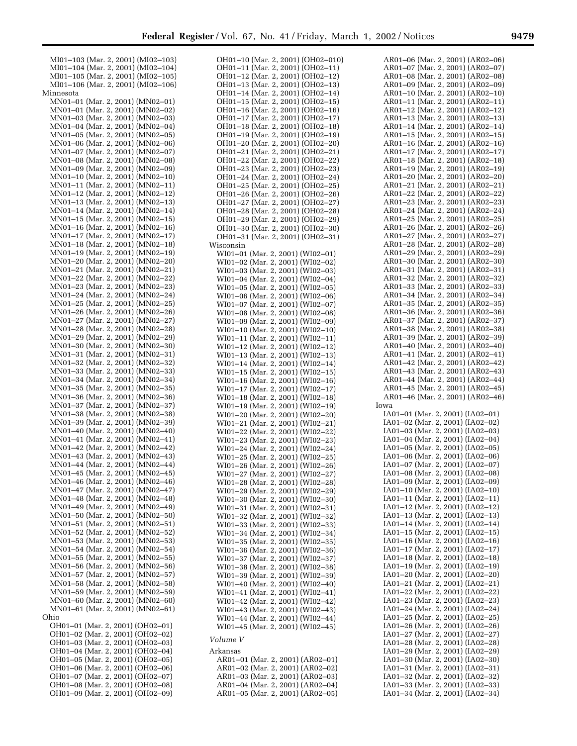| MI01-103 (Mar. 2, 2001) (MI02-103) | OH01-10 (Mar. 2, 2001) (OH02-010) |                                  |
|------------------------------------|-----------------------------------|----------------------------------|
|                                    |                                   | AR01–06 (Mar. 2, 2001) (AR02–06) |
| MI01-104 (Mar. 2, 2001) (MI02-104) | OH01-11 (Mar. 2, 2001) (OH02-11)  | AR01–07 (Mar. 2, 2001) (AR02–07) |
| MI01-105 (Mar. 2, 2001) (MI02-105) | OH01-12 (Mar. 2, 2001) (OH02-12)  | AR01-08 (Mar. 2, 2001) (AR02-08) |
|                                    |                                   |                                  |
| MI01-106 (Mar. 2, 2001) (MI02-106) | OH01-13 (Mar. 2, 2001) (OH02-13)  | AR01-09 (Mar. 2, 2001) (AR02-09) |
| Minnesota                          | OH01-14 (Mar. 2, 2001) (OH02-14)  | AR01-10 (Mar. 2, 2001) (AR02-10) |
| MN01-01 (Mar. 2, 2001) (MN02-01)   | OH01-15 (Mar. 2, 2001) (OH02-15)  | AR01-11 (Mar. 2, 2001) (AR02-11) |
| MN01-01 (Mar. 2, 2001) (MN02-02)   | OH01-16 (Mar. 2, 2001) (OH02-16)  | AR01–12 (Mar. 2, 2001) (AR02–12) |
| MN01-03 (Mar. 2, 2001) (MN02-03)   | OH01-17 (Mar. 2, 2001) (OH02-17)  | AR01–13 (Mar. 2, 2001) (AR02–13) |
| MN01-04 (Mar. 2, 2001) (MN02-04)   | OH01-18 (Mar. 2, 2001) (OH02-18)  | AR01–14 (Mar. 2, 2001) (AR02–14) |
|                                    |                                   |                                  |
| MN01-05 (Mar. 2, 2001) (MN02-05)   | OH01-19 (Mar. 2, 2001) (OH02-19)  | AR01–15 (Mar. 2, 2001) (AR02–15) |
| MN01-06 (Mar. 2, 2001) (MN02-06)   | OH01-20 (Mar. 2, 2001) (OH02-20)  | AR01–16 (Mar. 2, 2001) (AR02–16) |
| MN01-07 (Mar. 2, 2001) (MN02-07)   | OH01-21 (Mar. 2, 2001) (OH02-21)  | AR01–17 (Mar. 2, 2001) (AR02–17) |
| MN01-08 (Mar. 2, 2001) (MN02-08)   | OH01-22 (Mar. 2, 2001) (OH02-22)  | AR01-18 (Mar. 2, 2001) (AR02-18) |
| MN01-09 (Mar. 2, 2001) (MN02-09)   | OH01-23 (Mar. 2, 2001) (OH02-23)  | AR01-19 (Mar. 2, 2001) (AR02-19) |
| MN01-10 (Mar. 2, 2001) (MN02-10)   |                                   | AR01-20 (Mar. 2, 2001) (AR02-20) |
|                                    | OH01-24 (Mar. 2, 2001) (OH02-24)  |                                  |
| MN01-11 (Mar. 2, 2001) (MN02-11)   | OH01-25 (Mar. 2, 2001) (OH02-25)  | AR01-21 (Mar. 2, 2001) (AR02-21) |
| MN01-12 (Mar. 2, 2001) (MN02-12)   | OH01-26 (Mar. 2, 2001) (OH02-26)  | AR01–22 (Mar. 2, 2001) (AR02–22) |
| MN01-13 (Mar. 2, 2001) (MN02-13)   | OH01-27 (Mar. 2, 2001) (OH02-27)  | AR01–23 (Mar. 2, 2001) (AR02–23) |
| MN01-14 (Mar. 2, 2001) (MN02-14)   | OH01-28 (Mar. 2, 2001) (OH02-28)  | AR01–24 (Mar. 2, 2001) (AR02–24) |
| MN01-15 (Mar. 2, 2001) (MN02-15)   | OH01-29 (Mar. 2, 2001) (OH02-29)  | AR01–25 (Mar. 2, 2001) (AR02–25) |
| MN01-16 (Mar. 2, 2001) (MN02-16)   |                                   | AR01–26 (Mar. 2, 2001) (AR02–26) |
|                                    | OH01-30 (Mar. 2, 2001) (OH02-30)  |                                  |
| MN01-17 (Mar. 2, 2001) (MN02-17)   | OH01-31 (Mar. 2, 2001) (OH02-31)  | AR01–27 (Mar. 2, 2001) (AR02–27) |
| MN01-18 (Mar. 2, 2001) (MN02-18)   | Wisconsin                         | AR01-28 (Mar. 2, 2001) (AR02-28) |
| MN01-19 (Mar. 2, 2001) (MN02-19)   | WI01-01 (Mar. 2, 2001) (WI02-01)  | AR01–29 (Mar. 2, 2001) (AR02–29) |
| MN01-20 (Mar. 2, 2001) (MN02-20)   | WI01-02 (Mar. 2, 2001) (WI02-02)  | AR01-30 (Mar. 2, 2001) (AR02-30) |
| MN01-21 (Mar. 2, 2001) (MN02-21)   | WI01-03 (Mar. 2, 2001) (WI02-03)  | AR01–31 (Mar. 2, 2001) (AR02–31) |
| MN01-22 (Mar. 2, 2001) (MN02-22)   |                                   | AR01–32 (Mar. 2, 2001) (AR02–32) |
|                                    | WI01-04 (Mar. 2, 2001) (WI02-04)  |                                  |
| MN01-23 (Mar. 2, 2001) (MN02-23)   | WI01-05 (Mar. 2, 2001) (WI02-05)  | AR01–33 (Mar. 2, 2001) (AR02–33) |
| MN01-24 (Mar. 2, 2001) (MN02-24)   | WI01-06 (Mar. 2, 2001) (WI02-06)  | AR01–34 (Mar. 2, 2001) (AR02–34) |
| MN01-25 (Mar. 2, 2001) (MN02-25)   | WI01-07 (Mar. 2, 2001) (WI02-07)  | AR01–35 (Mar. 2, 2001) (AR02–35) |
| MN01-26 (Mar. 2, 2001) (MN02-26)   | WI01-08 (Mar. 2, 2001) (WI02-08)  | AR01–36 (Mar. 2, 2001) (AR02–36) |
| MN01-27 (Mar. 2, 2001) (MN02-27)   | WI01-09 (Mar. 2, 2001) (WI02-09)  | AR01–37 (Mar. 2, 2001) (AR02–37) |
| MN01-28 (Mar. 2, 2001) (MN02-28)   |                                   | AR01-38 (Mar. 2, 2001) (AR02-38) |
|                                    | WI01-10 (Mar. 2, 2001) (WI02-10)  |                                  |
| MN01-29 (Mar. 2, 2001) (MN02-29)   | WI01-11 (Mar. 2, 2001) (WI02-11)  | AR01–39 (Mar. 2, 2001) (AR02–39) |
| MN01-30 (Mar. 2, 2001) (MN02-30)   | WI01-12 (Mar. 2, 2001) (WI02-12)  | AR01–40 (Mar. 2, 2001) (AR02–40) |
| MN01-31 (Mar. 2, 2001) (MN02-31)   | WI01-13 (Mar. 2, 2001) (WI02-13)  | AR01–41 (Mar. 2, 2001) (AR02–41) |
| MN01-32 (Mar. 2, 2001) (MN02-32)   | WI01-14 (Mar. 2, 2001) (WI02-14)  | AR01–42 (Mar. 2, 2001) (AR02–42) |
| MN01-33 (Mar. 2, 2001) (MN02-33)   | WI01-15 (Mar. 2, 2001) (WI02-15)  | AR01–43 (Mar. 2, 2001) (AR02–43) |
| MN01-34 (Mar. 2, 2001) (MN02-34)   | WI01-16 (Mar. 2, 2001) (WI02-16)  | AR01–44 (Mar. 2, 2001) (AR02–44) |
|                                    |                                   |                                  |
| MN01-35 (Mar. 2, 2001) (MN02-35)   | WI01-17 (Mar. 2, 2001) (WI02-17)  | AR01–45 (Mar. 2, 2001) (AR02–45) |
|                                    | WI01-18 (Mar. 2, 2001) (WI02-18)  | AR01-46 (Mar. 2, 2001) (AR02-46) |
| MN01-36 (Mar. 2, 2001) (MN02-36)   |                                   |                                  |
| MN01-37 (Mar. 2, 2001) (MN02-37)   | WI01-19 (Mar. 2, 2001) (WI02-19)  | Iowa                             |
| MN01-38 (Mar. 2, 2001) (MN02-38)   | WI01-20 (Mar. 2, 2001) (WI02-20)  | IA01-01 (Mar. 2, 2001) (IA02-01) |
|                                    |                                   |                                  |
| MN01-39 (Mar. 2, 2001) (MN02-39)   | WI01-21 (Mar. 2, 2001) (WI02-21)  | IA01-02 (Mar. 2, 2001) (IA02-02) |
| MN01-40 (Mar. 2, 2001) (MN02-40)   | WI01-22 (Mar. 2, 2001) (WI02-22)  | IA01-03 (Mar. 2, 2001) (IA02-03) |
| MN01-41 (Mar. 2, 2001) (MN02-41)   | WI01-23 (Mar. 2, 2001) (WI02-23)  | IA01–04 (Mar. 2, 2001) (IA02–04) |
| MN01-42 (Mar. 2, 2001) (MN02-42)   | WI01-24 (Mar. 2, 2001) (WI02-24)  | IA01-05 (Mar. 2, 2001) (IA02-05) |
| MN01-43 (Mar. 2, 2001) (MN02-43)   | WI01-25 (Mar. 2, 2001) (WI02-25)  | IA01-06 (Mar. 2, 2001) (IA02-06) |
| MN01-44 (Mar. 2, 2001) (MN02-44)   | WI01-26 (Mar. 2, 2001) (WI02-26)  | IA01-07 (Mar. 2, 2001) (IA02-07) |
|                                    |                                   |                                  |
| MN01-45 (Mar. 2, 2001) (MN02-45)   | WI01-27 (Mar. 2, 2001) (WI02-27)  | IA01-08 (Mar. 2, 2001) (IA02-08) |
| MN01-46 (Mar. 2, 2001) (MN02-46)   | WI01-28 (Mar. 2, 2001) (WI02-28)  | IA01-09 (Mar. 2, 2001) (IA02-09) |
| MN01-47 (Mar. 2, 2001) (MN02-47)   | WI01-29 (Mar. 2, 2001) (WI02-29)  | IA01-10 (Mar. 2, 2001) (IA02-10) |
| MN01-48 (Mar. 2, 2001) (MN02-48)   | WI01-30 (Mar. 2, 2001) (WI02-30)  | IA01-11 (Mar. 2, 2001) (IA02-11) |
| MN01-49 (Mar. 2, 2001) (MN02-49)   | WI01-31 (Mar. 2, 2001) (WI02-31)  | IA01-12 (Mar. 2, 2001) (IA02-12) |
| MN01-50 (Mar. 2, 2001) (MN02-50)   | WI01-32 (Mar. 2, 2001) (WI02-32)  | IA01-13 (Mar. 2, 2001) (IA02-13) |
| MN01-51 (Mar. 2, 2001) (MN02-51)   | WI01-33 (Mar. 2, 2001) (WI02-33)  | IA01–14 (Mar. 2, 2001) (IA02–14) |
| MN01-52 (Mar. 2, 2001) (MN02-52)   | WI01-34 (Mar. 2, 2001) (WI02-34)  | IA01-15 (Mar. 2, 2001) (IA02-15) |
|                                    |                                   |                                  |
| MN01-53 (Mar. 2, 2001) (MN02-53)   | WI01-35 (Mar. 2, 2001) (WI02-35)  | IA01-16 (Mar. 2, 2001) (IA02-16) |
| MN01-54 (Mar. 2, 2001) (MN02-54)   | WI01-36 (Mar. 2, 2001) (WI02-36)  | IA01-17 (Mar. 2, 2001) (IA02-17) |
| MN01-55 (Mar. 2, 2001) (MN02-55)   | WI01-37 (Mar. 2, 2001) (WI02-37)  | IA01-18 (Mar. 2, 2001) (IA02-18) |
| MN01-56 (Mar. 2, 2001) (MN02-56)   | WI01-38 (Mar. 2, 2001) (WI02-38)  | IA01-19 (Mar. 2, 2001) (IA02-19) |
| MN01-57 (Mar. 2, 2001) (MN02-57)   | WI01-39 (Mar. 2, 2001) (WI02-39)  | IA01–20 (Mar. 2, 2001) (IA02–20) |
| MN01-58 (Mar. 2, 2001) (MN02-58)   |                                   | IA01-21 (Mar. 2, 2001) (IA02-21) |
|                                    | WI01-40 (Mar. 2, 2001) (WI02-40)  | IA01-22 (Mar. 2, 2001) (IA02-22) |
| MN01-59 (Mar. 2, 2001) (MN02-59)   | WI01-41 (Mar. 2, 2001) (WI02-41)  |                                  |
| MN01-60 (Mar. 2, 2001) (MN02-60)   | WI01-42 (Mar. 2, 2001) (WI02-42)  | IA01-23 (Mar. 2, 2001) (IA02-23) |
| MN01-61 (Mar. 2, 2001) (MN02-61)   | WI01-43 (Mar. 2, 2001) (WI02-43)  | IA01–24 (Mar. 2, 2001) (IA02–24) |
| Ohio                               | WI01-44 (Mar. 2, 2001) (WI02-44)  | IA01-25 (Mar. 2, 2001) (IA02-25) |
| OH01-01 (Mar. 2, 2001) (OH02-01)   | WI01-45 (Mar. 2, 2001) (WI02-45)  | IA01–26 (Mar. 2, 2001) (IA02–26) |
| OH01–02 (Mar. 2, 2001) (OH02–02)   |                                   | IA01-27 (Mar. 2, 2001) (IA02-27) |
| OH01-03 (Mar. 2, 2001) (OH02-03)   | Volume V                          | IA01–28 (Mar. 2, 2001) (IA02–28) |
| OH01-04 (Mar. 2, 2001) (OH02-04)   | Arkansas                          | IA01-29 (Mar. 2, 2001) (IA02-29) |
|                                    |                                   |                                  |
| OH01-05 (Mar. 2, 2001) (OH02-05)   | AR01-01 (Mar. 2, 2001) (AR02-01)  | IA01–30 (Mar. 2, 2001) (IA02–30) |
| OH01-06 (Mar. 2, 2001) (OH02-06)   | AR01-02 (Mar. 2, 2001) (AR02-02)  | IA01-31 (Mar. 2, 2001) (IA02-31) |
| OH01-07 (Mar. 2, 2001) (OH02-07)   | AR01-03 (Mar. 2, 2001) (AR02-03)  | IA01-32 (Mar. 2, 2001) (IA02-32) |
| OH01-08 (Mar. 2, 2001) (OH02-08)   | AR01–04 (Mar. 2, 2001) (AR02–04)  | IA01-33 (Mar. 2, 2001) (IA02-33) |
| OH01-09 (Mar. 2, 2001) (OH02-09)   | AR01-05 (Mar. 2, 2001) (AR02-05)  | IA01-34 (Mar. 2, 2001) (IA02-34) |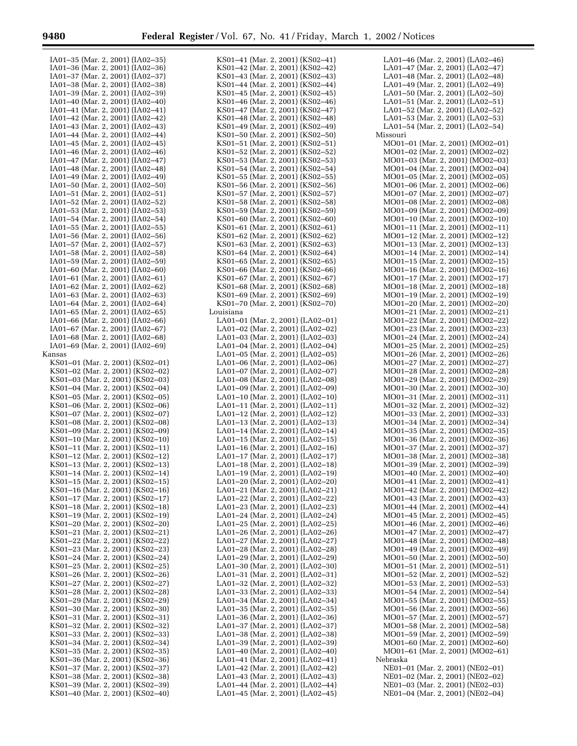Ξ

| IA01-35 (Mar. 2, 2001) (IA02-35)                                     | KS01–41 (Mar. 2, 2001) (KS02–41)                                     |
|----------------------------------------------------------------------|----------------------------------------------------------------------|
| IA01-36 (Mar. 2, 2001) (IA02-36)                                     | KS01–42 (Mar. 2, 2001) (KS02–42)                                     |
| IA01-37 (Mar. 2, 2001) (IA02-37)                                     | KS01-43 (Mar. 2, 2001) (KS02-43)                                     |
| IA01-38 (Mar. 2, 2001) (IA02-38)                                     | KS01–44 (Mar. 2, 2001) (KS02–44)                                     |
| IA01-39 (Mar. 2, 2001) (IA02-39)                                     | KS01–45 (Mar. 2, 2001) (KS02–45)                                     |
| IA01-40 (Mar. 2, 2001) (IA02-40)                                     | KS01–46 (Mar. 2, 2001) (KS02–46)                                     |
| IA01–41 (Mar. 2, 2001) (IA02–41)                                     | KS01–47 (Mar. 2, 2001) (KS02–47)                                     |
| IA01–42 (Mar. 2, 2001) (IA02–42)                                     | KS01-48 (Mar. 2, 2001) (KS02-48)                                     |
| IA01-43 (Mar. 2, 2001) (IA02-43)                                     | KS01-49 (Mar. 2, 2001) (KS02-49)                                     |
| IA01–44 (Mar. 2, 2001) (IA02–44)                                     | KS01-50 (Mar. 2, 2001) (KS02-50)                                     |
| IA01-45 (Mar. 2, 2001) (IA02-45)                                     | KS01-51 (Mar. 2, 2001) (KS02-51)                                     |
| IA01-46 (Mar. 2, 2001) (IA02-46)                                     | KS01-52 (Mar. 2, 2001) (KS02-52)                                     |
| IA01-47 (Mar. 2, 2001) (IA02-47)                                     | KS01–53 (Mar. 2, 2001) (KS02–53)                                     |
| IA01-48 (Mar. 2, 2001) (IA02-48)                                     | KS01-54 (Mar. 2, 2001) (KS02-54)                                     |
| IA01-49 (Mar. 2, 2001) (IA02-49)                                     | KS01-55 (Mar. 2, 2001) (KS02-55)                                     |
| IA01-50 (Mar. 2, 2001) (IA02-50)                                     | KS01-56 (Mar. 2, 2001) (KS02-56)                                     |
| IA01-51 (Mar. 2, 2001) (IA02-51)                                     | KS01-57 (Mar. 2, 2001) (KS02-57)                                     |
| IA01-52 (Mar. 2, 2001) (IA02-52)                                     | KS01-58 (Mar. 2, 2001) (KS02-58)                                     |
| IA01-53 (Mar. 2, 2001) (IA02-53)                                     | KS01-59 (Mar. 2, 2001) (KS02-59)                                     |
| IA01-54 (Mar. 2, 2001) (IA02-54)                                     | KS01-60 (Mar. 2, 2001) (KS02-60)                                     |
| IA01-55 (Mar. 2, 2001) (IA02-55)                                     | KS01-61 (Mar. 2, 2001) (KS02-61)                                     |
| IA01-56 (Mar. 2, 2001) (IA02-56)                                     | KS01-62 (Mar. 2, 2001) (KS02-62)                                     |
| IA01-57 (Mar. 2, 2001) (IA02-57)                                     | KS01-63 (Mar. 2, 2001) (KS02-63)                                     |
| IA01-58 (Mar. 2, 2001) (IA02-58)                                     | KS01-64 (Mar. 2, 2001) (KS02-64)                                     |
| IA01-59 (Mar. 2, 2001) (IA02-59)                                     | KS01-65 (Mar. 2, 2001) (KS02-65)                                     |
| IA01-60 (Mar. 2, 2001) (IA02-60)                                     | KS01-66 (Mar. 2, 2001) (KS02-66)                                     |
| IA01-61 (Mar. 2, 2001) (IA02-61)                                     | KS01-67 (Mar. 2, 2001) (KS02-67)                                     |
| IA01-62 (Mar. 2, 2001) (IA02-62)                                     | KS01-68 (Mar. 2, 2001) (KS02-68)                                     |
| IA01-63 (Mar. 2, 2001) (IA02-63)                                     | KS01–69 (Mar. 2, 2001) (KS02–69)                                     |
| IA01-64 (Mar. 2, 2001) (IA02-64)                                     | KS01-70 (Mar. 2, 2001) (KS02-70)                                     |
| IA01-65 (Mar. 2, 2001) (IA02-65)                                     | Louisiana<br>LA01-01 (Mar. 2, 2001) (LA02-01)                        |
| IA01-66 (Mar. 2, 2001) (IA02-66)<br>IA01-67 (Mar. 2, 2001) (IA02-67) | LA01-02 (Mar. 2, 2001) (LA02-02)                                     |
| IA01-68 (Mar. 2, 2001) (IA02-68)                                     |                                                                      |
| IA01–69 (Mar. 2, 2001) (IA02–69)                                     | LA01-03 (Mar. 2, 2001) (LA02-03)<br>LA01-04 (Mar. 2, 2001) (LA02-04) |
| Kansas                                                               | LA01-05 (Mar. 2, 2001) (LA02-05)                                     |
| KS01-01 (Mar. 2, 2001) (KS02-01)                                     | LA01-06 (Mar. 2, 2001) (LA02-06)                                     |
| KS01-02 (Mar. 2, 2001) (KS02-02)                                     | LA01-07 (Mar. 2, 2001) (LA02-07)                                     |
| KS01-03 (Mar. 2, 2001) (KS02-03)                                     | LA01-08 (Mar. 2, 2001) (LA02-08)                                     |
| KS01-04 (Mar. 2, 2001) (KS02-04)                                     | LA01-09 (Mar. 2, 2001) (LA02-09)                                     |
| KS01-05 (Mar. 2, 2001) (KS02-05)                                     | LA01-10 (Mar. 2, 2001) (LA02-10)                                     |
| KS01-06 (Mar. 2, 2001) (KS02-06)                                     | LA01-11 (Mar. 2, 2001) (LA02-11)                                     |
| KS01-07 (Mar. 2, 2001) (KS02-07)                                     | LA01-12 (Mar. 2, 2001) (LA02-12)                                     |
| KS01-08 (Mar. 2, 2001) (KS02-08)                                     | LA01-13 (Mar. 2, 2001) (LA02-13)                                     |
| KS01-09 (Mar. 2, 2001) (KS02-09)                                     | LA01-14 (Mar. 2, 2001) (LA02-14)                                     |
| KS01-10 (Mar. 2, 2001) (KS02-10)                                     | LA01-15 (Mar. 2, 2001) (LA02-15)                                     |
| KS01-11 (Mar. 2, 2001) (KS02-11)                                     | LA01-16 (Mar. 2, 2001) (LA02-16)                                     |
| KS01-12 (Mar. 2, 2001) (KS02-12)                                     | LA01-17 (Mar. 2, 2001) (LA02-17)                                     |
| KS01-13 (Mar. 2, 2001) (KS02-13)                                     | LA01-18 (Mar. 2, 2001) (LA02-18)                                     |
| KS01–14 (Mar. 2, 2001) (KS02–14)                                     | LA01-19 (Mar. 2, 2001) (LA02-19)                                     |
| KS01–15 (Mar. 2, 2001) (KS02–15)                                     | LA01–20 (Mar. 2, 2001) (LA02–20)                                     |
| KS01-16 (Mar. 2, 2001) (KS02-16)                                     | LA01–21 (Mar. 2, 2001) (LA02–21)                                     |
| KS01-17 (Mar. 2, 2001) (KS02-17)                                     | LA01-22 (Mar. 2, 2001) (LA02-22)                                     |
| KS01-18 (Mar. 2, 2001) (KS02-18)                                     | LA01–23 (Mar. 2, 2001) (LA02–23)                                     |
| KS01-19 (Mar. 2, 2001) (KS02-19)                                     | LA01-24 (Mar. 2, 2001) (LA02-24)                                     |
| KS01-20 (Mar. 2, 2001) (KS02-20)                                     | LA01-25 (Mar. 2, 2001) (LA02-25)                                     |
| KS01-21 (Mar. 2, 2001) (KS02-21)                                     | LA01–26 (Mar. 2, 2001) (LA02–26)                                     |
| KS01-22 (Mar. 2, 2001) (KS02-22)                                     | LA01–27 (Mar. 2, 2001) (LA02–27)                                     |
| KS01-23 (Mar. 2, 2001) (KS02-23)                                     | LA01–28 (Mar. 2, 2001) (LA02–28)                                     |
| KS01-24 (Mar. 2, 2001) (KS02-24)<br>KS01-25 (Mar. 2, 2001) (KS02-25) | LA01-29 (Mar. 2, 2001) (LA02-29)                                     |
| KS01-26 (Mar. 2, 2001) (KS02-26)                                     | LA01-30 (Mar. 2, 2001) (LA02-30)                                     |
| KS01-27 (Mar. 2, 2001) (KS02-27)                                     | LA01-31 (Mar. 2, 2001) (LA02-31)                                     |
| KS01-28 (Mar. 2, 2001) (KS02-28)                                     | LA01-32 (Mar. 2, 2001) (LA02-32)                                     |
| KS01-29 (Mar. 2, 2001) (KS02-29)                                     | LA01–33 (Mar. 2, 2001) (LA02–33)<br>LA01–34 (Mar. 2, 2001) (LA02–34) |
| KS01-30 (Mar. 2, 2001) (KS02-30)                                     | LA01-35 (Mar. 2, 2001) (LA02-35)                                     |
| KS01-31 (Mar. 2, 2001) (KS02-31)                                     | LA01-36 (Mar. 2, 2001) (LA02-36)                                     |
| KS01-32 (Mar. 2, 2001) (KS02-32)                                     | LA01-37 (Mar. 2, 2001) (LA02-37)                                     |
| KS01-33 (Mar. 2, 2001) (KS02-33)                                     | LA01–38 (Mar. 2, 2001) (LA02–38)                                     |
| KS01-34 (Mar. 2, 2001) (KS02-34)                                     | LA01–39 (Mar. 2, 2001) (LA02–39)                                     |
| KS01-35 (Mar. 2, 2001) (KS02-35)                                     |                                                                      |
| KS01-36 (Mar. 2, 2001) (KS02-36)                                     |                                                                      |
|                                                                      | LA01-40 (Mar. 2, 2001) (LA02-40)                                     |
|                                                                      | LA01–41 (Mar. 2, 2001) (LA02–41)                                     |
| KS01-37 (Mar. 2, 2001) (KS02-37)                                     | LA01–42 (Mar. 2, 2001) (LA02–42)                                     |
| KS01-38 (Mar. 2, 2001) (KS02-38)<br>KS01-39 (Mar. 2, 2001) (KS02-39) | LA01–43 (Mar. 2, 2001) (LA02–43)<br>LA01-44 (Mar. 2, 2001) (LA02-44) |

|                                                                                                            | KS01–42 (Mar. 2, 2001) (KS02–42) |
|------------------------------------------------------------------------------------------------------------|----------------------------------|
| KS01-43 (Mar. 2, 2001) (KS02-43)                                                                           |                                  |
| KS01-44 (Mar. 2, 2001) (KS02-44)                                                                           |                                  |
| KS01-45 (Mar. 2, 2001) (KS02-45)                                                                           |                                  |
| KS01-46 (Mar. 2, 2001) (KS02-46)                                                                           |                                  |
| KS01-47 (Mar. 2, 2001) (KS02-47)                                                                           |                                  |
| KS01-48 (Mar. 2, 2001) (KS02-48)                                                                           |                                  |
| KS01-49 (Mar. 2, 2001) (KS02-49)                                                                           |                                  |
| KS01-50 (Mar. 2, 2001) (KS02-50)                                                                           |                                  |
| KS01-51<br>(Mar. 2, 2001) (KS02-51)                                                                        |                                  |
| KS01-52 (Mar. 2, 2001) (KS02-52)                                                                           |                                  |
| KS01-53 (Mar. 2, 2001) (KS02-53)                                                                           |                                  |
| KS01-54 (Mar. 2, 2001) (KS02-54)                                                                           |                                  |
| KS01-55 (Mar. 2, 2001) (KS02-55)                                                                           |                                  |
| KS01-56 (Mar. 2, 2001) (KS02-56)                                                                           |                                  |
| KS01-57 (Mar. 2, 2001) (KS02-57)                                                                           |                                  |
|                                                                                                            |                                  |
| $KSO1-58$ (Mar. 2, 2001) (KS02-58)                                                                         |                                  |
| KS01-59 (Mar. 2, 2001) (KS02-59)                                                                           |                                  |
| KS01-60 (Mar. 2, 2001) (KS02-60)<br>KS01-61 (Mar. 2, 2001) (KS02-61)                                       |                                  |
|                                                                                                            |                                  |
| KS01-62 (Mar. 2, 2001) (KS02-62)<br>KS01-63 (Mar. 2, 2001) (KS02-63)                                       |                                  |
|                                                                                                            |                                  |
|                                                                                                            |                                  |
| KS01-64 (Mar. 2, 2001) (KS02-64)<br>KS01-65 (Mar. 2, 2001) (KS02-65)                                       |                                  |
| KS01-66 (Mar. 2, 2001) (KS02-66)<br>KS01-67 (Mar. 2, 2001) (KS02-67)                                       |                                  |
|                                                                                                            |                                  |
| KS01-68 (Mar. 2, 2001) (KS02-68)<br>KS01-69 (Mar. 2, 2001) (KS02-69)                                       |                                  |
|                                                                                                            |                                  |
| KS01-70 (Mar. 2, 2001) (KS02-70)                                                                           |                                  |
| Louisiana                                                                                                  |                                  |
| LA01-01 (Mar. 2, 2001) (LA02-01)                                                                           |                                  |
| LA01-02 (Mar. 2, 2001) (LA02-02)                                                                           |                                  |
|                                                                                                            |                                  |
| LA01-03 (Mar. 2, 2001) (LA02-03)                                                                           |                                  |
| LA01-04 (Mar. 2, 2001) (LA02-04)                                                                           |                                  |
|                                                                                                            |                                  |
| LA01-05 (Mar. 2, 2001) (LA02-05)<br>LA01-06 (Mar. 2, 2001) (LA02-06)                                       |                                  |
|                                                                                                            |                                  |
| LA01-07 (Mar. 2, 2001) (LA02-07)<br>LA01-08 (Mar. 2, 2001) (LA02-08)                                       |                                  |
| LA01-09 (Mar. 2, 2001) (LA02-09)<br>LA01-10 (Mar. 2, 2001) (LA02-10)                                       |                                  |
|                                                                                                            |                                  |
| LA01-11 (Mar. 2, 2001) (LA02-11)<br>LA01-12 (Mar. 2, 2001) (LA02-12)                                       |                                  |
|                                                                                                            |                                  |
|                                                                                                            |                                  |
|                                                                                                            |                                  |
|                                                                                                            |                                  |
| LA01-13 (Mar. 2, 2001) (LA02-13)<br>LA01-14 (Mar. 2, 2001) (LA02-14)                                       |                                  |
|                                                                                                            |                                  |
| LA01-15 (Mar. 2, 2001) (LA02-15)<br>LA01-16 (Mar. 2, 2001) (LA02-16)                                       |                                  |
|                                                                                                            |                                  |
| LA01-17 (Mar. 2, 2001) (LA02-17)<br>LA01-18 (Mar. 2, 2001) (LA02-18)                                       |                                  |
|                                                                                                            |                                  |
|                                                                                                            |                                  |
| LA01-19 (Mar. 2, 2001) (LA02-19)<br>LA01-20 (Mar. 2, 2001) (LA02-20)                                       |                                  |
| LA01-21 (Mar. 2, 2001) (LA02-21)                                                                           |                                  |
| LA01-22 (Mar. 2, 2001) (LA02-22)                                                                           |                                  |
| LA01-23 (Mar. 2, 2001) (LA02-23)                                                                           |                                  |
| LA01-24 (Mar. 2, 2001) (LA02-24)                                                                           |                                  |
| LA01-25 (Mar. 2, 2001) (LA02-25)                                                                           |                                  |
| LA01-26 (Mar. 2, 2001) (LA02-26)                                                                           |                                  |
|                                                                                                            |                                  |
| LA01-27 (Mar. 2, 2001) (LA02-27)<br>LA01-28 (Mar. 2, 2001) (LA02-28)                                       |                                  |
| LA01-29 (Mar. 2, 2001) (LA02-29)                                                                           |                                  |
| LA01-30 (Mar. 2, 2001) (LA02-30)                                                                           |                                  |
|                                                                                                            |                                  |
| LA01-31 (Mar. 2, 2001) (LA02-31)<br>LA01-32 (Mar. 2, 2001) (LA02-32)                                       |                                  |
|                                                                                                            |                                  |
|                                                                                                            |                                  |
| LA01-33 (Mar. 2, 2001) (LA02-33)<br>LA01-34 (Mar. 2, 2001) (LA02-34)                                       |                                  |
| LA01-35 (Mar. 2, 2001) (LA02-35)                                                                           |                                  |
| LA01–36 (Mar. 2, 2001) (LA02–36)                                                                           |                                  |
| LA01-37 (Mar. 2, 2001) (LA02-37)                                                                           |                                  |
| LA01-38 (Mar. 2, 2001) (LA02-38)                                                                           |                                  |
|                                                                                                            |                                  |
| LA01-39 (Mar. 2, 2001) (LA02-39)<br>LA01-40 (Mar. 2, 2001) (LA02-40)                                       |                                  |
|                                                                                                            |                                  |
| LA01-41 (Mar. 2, 2001) (LA02-41)<br>LA01-42 (Mar. 2, 2001) (LA02-42)                                       |                                  |
|                                                                                                            |                                  |
| $LAO1-43$ (Mar. 2, 2001) (LA02-43)<br>LA01-44 (Mar. 2, 2001) (LA02-44)<br>LA01-45 (Mar. 2, 2001) (LA02-45) |                                  |

| LA01-46 (Mar. 2, 2001) (LA02-46)                                     |
|----------------------------------------------------------------------|
| LA01-47 (Mar. 2, 2001) (LA02-47)                                     |
| LA01-48 (Mar. 2, 2001) (LA02-48)                                     |
| LA01-49 (Mar. 2, 2001) (LA02-49)                                     |
| LA01-50 (Mar. 2, 2001) (LA02-50)                                     |
| LA01-51 (Mar. 2, 2001) (LA02-51)                                     |
| LA01–52 (Mar. 2, 2001) (LA02–52)                                     |
| LA01-53 (Mar. 2, 2001) (LA02-53)                                     |
|                                                                      |
| LA01-54 (Mar. 2, 2001) (LA02-54)                                     |
| Missouri                                                             |
| MO01-01 (Mar. 2, 2001) (MO02-01)                                     |
| MO01-02 (Mar. 2, 2001) (MO02-02)                                     |
| MO01-03 (Mar. 2, 2001) (MO02-03)                                     |
| MO01-04 (Mar. 2, 2001) (MO02-04)                                     |
| MO01-05 (Mar. 2, 2001) (MO02-05)                                     |
| MO01-06 (Mar. 2, 2001) (MO02-06)                                     |
| MO01-07 (Mar. 2, 2001) (MO02-07)                                     |
| MO01-08 (Mar. 2, 2001) (MO02-08)                                     |
| MO01-09 (Mar. 2, 2001) (MO02-09)                                     |
|                                                                      |
| MO01-10 (Mar. 2, 2001) (MO02-10)                                     |
| MO01-11 (Mar. 2, 2001) (MO02-11)                                     |
| MO01-12 (Mar. 2, 2001) (MO02-12)                                     |
| MO01-13 (Mar. 2, 2001) (MO02-13)                                     |
| MO01-14 (Mar. 2, 2001) (MO02-14)                                     |
| MO01-15 (Mar. 2, 2001) (MO02-15)                                     |
| MO01-16 (Mar. 2, 2001) (MO02-16)                                     |
| MO01-17 (Mar. 2, 2001) (MO02-17)                                     |
| MO01-18 (Mar. 2, 2001) (MO02-18)                                     |
| MO01-19 (Mar. 2, 2001) (MO02-19)                                     |
| MO01-20 (Mar. 2, 2001) (MO02-20)                                     |
| MO01-21 (Mar. 2, 2001) (MO02-21)                                     |
|                                                                      |
| MO01-22 (Mar. 2, 2001) (MO02-22)                                     |
| MO01-23 (Mar. 2, 2001) (MO02-23)                                     |
| MO01-24 (Mar. 2, 2001) (MO02-24)                                     |
| MO01-25 (Mar. 2, 2001) (MO02-25)                                     |
| MO01-26 (Mar. 2, 2001) (MO02-26)                                     |
| MO01-27 (Mar. 2, 2001) (MO02-27)                                     |
| MO01-28 (Mar. 2, 2001) (MO02-28)                                     |
| MO01-29 (Mar. 2, 2001) (MO02-29)                                     |
| MO01-30 (Mar. 2, 2001) (MO02-30)                                     |
| MO01-31 (Mar. 2, 2001) (MO02-31)                                     |
| MO01-32 (Mar. 2, 2001) (MO02-32)                                     |
| MO01-33 (Mar. 2, 2001) (MO02-33)                                     |
| MO01-34 (Mar. 2, 2001) (MO02-34)                                     |
| MO01-35 (Mar. 2, 2001) (MO02-35)                                     |
|                                                                      |
| MO01-36 (Mar. 2, 2001) (MO02-36)                                     |
| MO01-37 (Mar. 2, 2001) (MO02-37)                                     |
| MO01-38 (Mar. 2, 2001) (MO02-38)                                     |
| $MO01-39$ (Mar. 2, 2001) (MO02-39)                                   |
| MO01-40 (Mar. 2, 2001) (MO02-40)                                     |
| MO01-41 (Mar. 2, 2001) (MO02-41)<br>MO01-42 (Mar. 2, 2001) (MO02-42) |
|                                                                      |
| MO01-43 (Mar. 2, 2001) (MO02-43)                                     |
| MO01-44 (Mar. 2, 2001) (MO02-44)                                     |
| MO01-45 (Mar. 2, 2001) (MO02-45)                                     |
| MO01-46 (Mar. 2, 2001) (MO02-46)                                     |
| MO01-47 (Mar. 2, 2001) (MO02-47)                                     |
| MO01-48 (Mar. 2, 2001) (MO02-48)                                     |
| MO01-49 (Mar. 2, 2001) (MO02-49)                                     |
|                                                                      |
| MO01-50 (Mar. 2, 2001) (MO02-50)                                     |
| MO01-51 (Mar. 2, 2001) (MO02-51)                                     |
| MO01-52 (Mar. 2, 2001) (MO02-52)                                     |
| MO01-53 (Mar. 2, 2001) (MO02-53)                                     |
| MO01-54 (Mar. 2, 2001) (MO02-54)                                     |
| MO01-55 (Mar. 2, 2001) (MO02-55)                                     |
| MO01-56 (Mar. 2, 2001) (MO02-56)                                     |
| MO01-57 (Mar. 2, 2001) (MO02-57)                                     |
| MO01-58 (Mar. 2, 2001) (MO02-58)                                     |
| MO01-59 (Mar. 2, 2001) (MO02-59)                                     |
| MO01-60 (Mar. 2, 2001) (MO02-60)                                     |
| MO01-61 (Mar. 2, 2001) (MO02-61)                                     |
|                                                                      |
| Nebraska                                                             |
| NE01-01 (Mar. 2, 2001) (NE02-01)                                     |
| NE01-02 (Mar. 2, 2001) (NE02-02)                                     |
| NE01-03 (Mar. 2, 2001) (NE02-03)                                     |
| NE01-04 (Mar. 2, 2001) (NE02-04)                                     |

 $\equiv$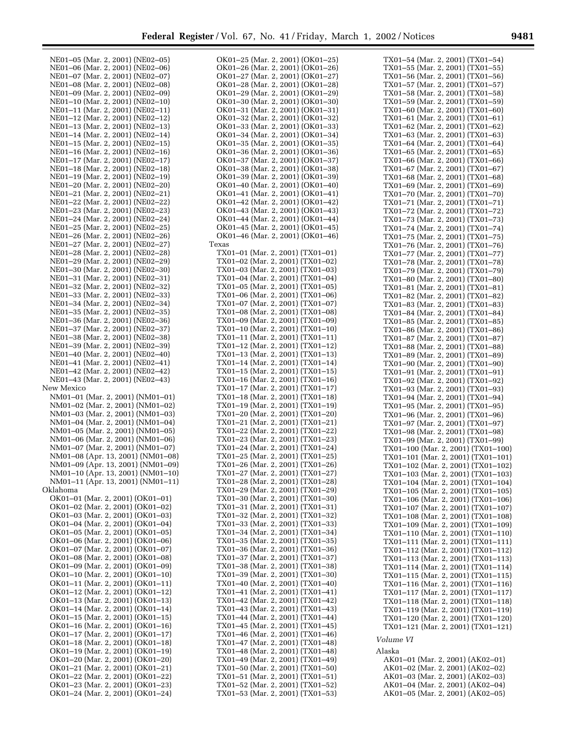| NE01-05 (Mar. 2, 2001) (NE02-05)  | OK01-25 (Mar. 2, 2001) (OK01-25) | TX01-54 (Mar. 2, 2001) (TX01-54)   |
|-----------------------------------|----------------------------------|------------------------------------|
| NE01-06 (Mar. 2, 2001) (NE02-06)  | OK01-26 (Mar. 2, 2001) (OK01-26) | TX01-55 (Mar. 2, 2001) (TX01-55)   |
| NE01-07 (Mar. 2, 2001) (NE02-07)  | OK01-27 (Mar. 2, 2001) (OK01-27) | TX01–56 (Mar. 2, 2001) (TX01–56)   |
|                                   |                                  |                                    |
| NE01-08 (Mar. 2, 2001) (NE02-08)  | OK01-28 (Mar. 2, 2001) (OK01-28) | TX01–57 (Mar. 2, 2001) (TX01–57)   |
| NE01-09 (Mar. 2, 2001) (NE02-09)  | OK01-29 (Mar. 2, 2001) (OK01-29) | TX01-58 (Mar. 2, 2001) (TX01-58)   |
| NE01-10 (Mar. 2, 2001) (NE02-10)  | OK01-30 (Mar. 2, 2001) (OK01-30) | TX01–59 (Mar. 2, 2001) (TX01–59)   |
| NE01-11 (Mar. 2, 2001) (NE02-11)  | OK01–31 (Mar. 2, 2001) (OK01–31) | TX01-60 (Mar. 2, 2001) (TX01-60)   |
| NE01-12 (Mar. 2, 2001) (NE02-12)  | OK01-32 (Mar. 2, 2001) (OK01-32) | TX01-61 (Mar. 2, 2001) (TX01-61)   |
| NE01-13 (Mar. 2, 2001) (NE02-13)  | OK01-33 (Mar. 2, 2001) (OK01-33) | TX01-62 (Mar. 2, 2001) (TX01-62)   |
| NE01-14 (Mar. 2, 2001) (NE02-14)  | OK01-34 (Mar. 2, 2001) (OK01-34) | TX01–63 (Mar. 2, 2001) (TX01–63)   |
|                                   |                                  |                                    |
| NE01-15 (Mar. 2, 2001) (NE02-15)  | OK01–35 (Mar. 2, 2001) (OK01–35) | TX01–64 (Mar. 2, 2001) (TX01–64)   |
| NE01-16 (Mar. 2, 2001) (NE02-16)  | OK01-36 (Mar. 2, 2001) (OK01-36) | TX01–65 (Mar. 2, 2001) (TX01–65)   |
| NE01-17 (Mar. 2, 2001) (NE02-17)  | OK01–37 (Mar. 2, 2001) (OK01–37) | TX01–66 (Mar. 2, 2001) (TX01–66)   |
| NE01-18 (Mar. 2, 2001) (NE02-18)  | OK01-38 (Mar. 2, 2001) (OK01-38) | TX01-67 (Mar. 2, 2001) (TX01-67)   |
| NE01-19 (Mar. 2, 2001) (NE02-19)  | OK01–39 (Mar. 2, 2001) (OK01–39) | TX01–68 (Mar. 2, 2001) (TX01–68)   |
| NE01-20 (Mar. 2, 2001) (NE02-20)  | OK01-40 (Mar. 2, 2001) (OK01-40) | TX01-69 (Mar. 2, 2001) (TX01-69)   |
| NE01-21 (Mar. 2, 2001) (NE02-21)  | OK01-41 (Mar. 2, 2001) (OK01-41) | TX01–70 (Mar. 2, 2001) (TX01–70)   |
| NE01-22 (Mar. 2, 2001) (NE02-22)  | OK01–42 (Mar. 2, 2001) (OK01–42) | TX01-71 (Mar. 2, 2001) (TX01-71)   |
| NE01-23 (Mar. 2, 2001) (NE02-23)  | OK01–43 (Mar. 2, 2001) (OK01–43) |                                    |
|                                   |                                  | TX01–72 (Mar. 2, 2001) (TX01–72)   |
| NE01-24 (Mar. 2, 2001) (NE02-24)  | OK01-44 (Mar. 2, 2001) (OK01-44) | TX01-73 (Mar. 2, 2001) (TX01-73)   |
| NE01-25 (Mar. 2, 2001) (NE02-25)  | OK01-45 (Mar. 2, 2001) (OK01-45) | TX01–74 (Mar. 2, 2001) (TX01–74)   |
| NE01-26 (Mar. 2, 2001) (NE02-26)  | OK01-46 (Mar. 2, 2001) (OK01-46) | TX01-75 (Mar. 2, 2001) (TX01-75)   |
| NE01-27 (Mar. 2, 2001) (NE02-27)  | Texas                            | TX01–76 (Mar. 2, 2001) (TX01–76)   |
| NE01-28 (Mar. 2, 2001) (NE02-28)  | TX01-01 (Mar. 2, 2001) (TX01-01) | TX01-77 (Mar. 2, 2001) (TX01-77)   |
| NE01-29 (Mar. 2, 2001) (NE02-29)  | TX01-02 (Mar. 2, 2001) (TX01-02) | TX01–78 (Mar. 2, 2001) (TX01–78)   |
| NE01-30 (Mar. 2, 2001) (NE02-30)  | TX01-03 (Mar. 2, 2001) (TX01-03) | TX01-79 (Mar. 2, 2001) (TX01-79)   |
| NE01-31 (Mar. 2, 2001) (NE02-31)  | TX01-04 (Mar. 2, 2001) (TX01-04) | TX01–80 (Mar. 2, 2001) (TX01–80)   |
| NE01-32 (Mar. 2, 2001) (NE02-32)  | TX01-05 (Mar. 2, 2001) (TX01-05) |                                    |
|                                   |                                  | TX01-81 (Mar. 2, 2001) (TX01-81)   |
| NE01-33 (Mar. 2, 2001) (NE02-33)  | TX01-06 (Mar. 2, 2001) (TX01-06) | TX01–82 (Mar. 2, 2001) (TX01–82)   |
| NE01-34 (Mar. 2, 2001) (NE02-34)  | TX01-07 (Mar. 2, 2001) (TX01-07) | TX01-83 (Mar. 2, 2001) (TX01-83)   |
| NE01-35 (Mar. 2, 2001) (NE02-35)  | TX01-08 (Mar. 2, 2001) (TX01-08) | TX01–84 (Mar. 2, 2001) (TX01–84)   |
| NE01-36 (Mar. 2, 2001) (NE02-36)  | TX01-09 (Mar. 2, 2001) (TX01-09) | TX01-85 (Mar. 2, 2001) (TX01-85)   |
| NE01-37 (Mar. 2, 2001) (NE02-37)  | TX01-10 (Mar. 2, 2001) (TX01-10) | TX01–86 (Mar. 2, 2001) (TX01–86)   |
| NE01-38 (Mar. 2, 2001) (NE02-38)  | TX01-11 (Mar. 2, 2001) (TX01-11) | TX01-87 (Mar. 2, 2001) (TX01-87)   |
| NE01-39 (Mar. 2, 2001) (NE02-39)  | TX01-12 (Mar. 2, 2001) (TX01-12) | TX01–88 (Mar. 2, 2001) (TX01–88)   |
| NE01-40 (Mar. 2, 2001) (NE02-40)  | TX01-13 (Mar. 2, 2001) (TX01-13) | TX01-89 (Mar. 2, 2001) (TX01-89)   |
| NE01-41 (Mar. 2, 2001) (NE02-41)  | TX01-14 (Mar. 2, 2001) (TX01-14) | TX01–90 (Mar. 2, 2001) (TX01–90)   |
| NE01-42 (Mar. 2, 2001) (NE02-42)  | TX01-15 (Mar. 2, 2001) (TX01-15) | TX01-91 (Mar. 2, 2001) (TX01-91)   |
| NE01-43 (Mar. 2, 2001) (NE02-43)  | TX01-16 (Mar. 2, 2001) (TX01-16) |                                    |
| New Mexico                        | TX01-17 (Mar. 2, 2001) (TX01-17) | TX01–92 (Mar. 2, 2001) (TX01–92)   |
|                                   |                                  | TX01-93 (Mar. 2, 2001) (TX01-93)   |
| NM01-01 (Mar. 2, 2001) (NM01-01)  | TX01-18 (Mar. 2, 2001) (TX01-18) | TX01–94 (Mar. 2, 2001) (TX01–94)   |
| NM01-02 (Mar. 2, 2001) (NM01-02)  | TX01-19 (Mar. 2, 2001) (TX01-19) | TX01-95 (Mar. 2, 2001) (TX01-95)   |
| NM01-03 (Mar. 2, 2001) (NM01-03)  | TX01-20 (Mar. 2, 2001) (TX01-20) | TX01–96 (Mar. 2, 2001) (TX01–96)   |
| NM01-04 (Mar. 2, 2001) (NM01-04)  | TX01-21 (Mar. 2, 2001) (TX01-21) | TX01-97 (Mar. 2, 2001) (TX01-97)   |
| NM01-05 (Mar. 2, 2001) (NM01-05)  | TX01-22 (Mar. 2, 2001) (TX01-22) | TX01–98 (Mar. 2, 2001) (TX01–98)   |
| NM01-06 (Mar. 2, 2001) (NM01-06)  | TX01-23 (Mar. 2, 2001) (TX01-23) | TX01-99 (Mar. 2, 2001) (TX01-99)   |
| NM01-07 (Mar. 2, 2001) (NM01-07)  | TX01-24 (Mar. 2, 2001) (TX01-24) | TX01–100 (Mar. 2, 2001) (TX01–100) |
| NM01-08 (Apr. 13, 2001) (NM01-08) | TX01-25 (Mar. 2, 2001) (TX01-25) | TX01–101 (Mar. 2, 2001) (TX01–101) |
| NM01-09 (Apr. 13, 2001) (NM01-09) | TX01-26 (Mar. 2, 2001) (TX01-26) | TX01-102 (Mar. 2, 2001) (TX01-102) |
| NM01-10 (Apr. 13, 2001) (NM01-10) | TX01–27 (Mar. 2, 2001) (TX01–27) | TX01-103 (Mar. 2, 2001) (TX01-103) |
| NM01-11 (Apr. 13, 2001) (NM01-11) | TX01-28 (Mar. 2, 2001) (TX01-28) |                                    |
| Oklahoma                          |                                  | TX01-104 (Mar. 2, 2001) (TX01-104) |
|                                   | TX01-29 (Mar. 2, 2001) (TX01-29) | TX01-105 (Mar. 2, 2001) (TX01-105) |
| OK01-01 (Mar. 2, 2001) (OK01-01)  | TX01-30 (Mar. 2, 2001) (TX01-30) | TX01-106 (Mar. 2, 2001) (TX01-106) |
| OK01-02 (Mar. 2, 2001) (OK01-02)  | TX01-31 (Mar. 2, 2001) (TX01-31) | TX01-107 (Mar. 2, 2001) (TX01-107) |
| OK01–03 (Mar. 2, 2001) (OK01–03)  | TX01-32 (Mar. 2, 2001) (TX01-32) | TX01-108 (Mar. 2, 2001) (TX01-108) |
| OK01-04 (Mar. 2, 2001) (OK01-04)  | TX01-33 (Mar. 2, 2001) (TX01-33) | TX01-109 (Mar. 2, 2001) (TX01-109) |
| OK01–05 (Mar. 2, 2001) (OK01–05)  | TX01-34 (Mar. 2, 2001) (TX01-34) | TX01-110 (Mar. 2, 2001) (TX01-110) |
| OK01–06 (Mar. 2, 2001) (OK01–06)  | TX01-35 (Mar. 2, 2001) (TX01-35) | TX01-111 (Mar. 2, 2001) (TX01-111) |
| OK01–07 (Mar. 2, 2001) (OK01–07)  | TX01-36 (Mar. 2, 2001) (TX01-36) | TX01-112 (Mar. 2, 2001) (TX01-112) |
| OK01–08 (Mar. 2, 2001) (OK01–08)  | TX01-37 (Mar. 2, 2001) (TX01-37) | TX01-113 (Mar. 2, 2001) (TX01-113) |
| OK01–09 (Mar. 2, 2001) (OK01–09)  | TX01-38 (Mar. 2, 2001) (TX01-38) | TX01-114 (Mar. 2, 2001) (TX01-114) |
| OK01-10 (Mar. 2, 2001) (OK01-10)  | TX01-39 (Mar. 2, 2001) (TX01-30) | TX01-115 (Mar. 2, 2001) (TX01-115) |
| OK01–11 (Mar. 2, 2001) (OK01–11)  | TX01-40 (Mar. 2, 2001) (TX01-40) |                                    |
|                                   |                                  | TX01-116 (Mar. 2, 2001) (TX01-116) |
| OK01-12 (Mar. 2, 2001) (OK01-12)  | TX01-41 (Mar. 2, 2001) (TX01-41) | TX01-117 (Mar. 2, 2001) (TX01-117) |
| OK01–13 (Mar. 2, 2001) (OK01–13)  | TX01-42 (Mar. 2, 2001) (TX01-42) | TX01-118 (Mar. 2, 2001) (TX01-118) |
| OK01–14 (Mar. 2, 2001) (OK01–14)  | TX01–43 (Mar. 2, 2001) (TX01–43) | TX01-119 (Mar. 2, 2001) (TX01-119) |
| OK01–15 (Mar. 2, 2001) (OK01–15)  | TX01–44 (Mar. 2, 2001) (TX01–44) | TX01-120 (Mar. 2, 2001) (TX01-120) |
| OK01-16 (Mar. 2, 2001) (OK01-16)  | TX01–45 (Mar. 2, 2001) (TX01–45) | TX01-121 (Mar. 2, 2001) (TX01-121) |
| OK01–17 (Mar. 2, 2001) (OK01–17)  | TX01-46 (Mar. 2, 2001) (TX01-46) |                                    |
| OK01–18 (Mar. 2, 2001) (OK01–18)  | TX01–47 (Mar. 2, 2001) (TX01–48) | Volume VI                          |
| OK01–19 (Mar. 2, 2001) (OK01–19)  | TX01–48 (Mar. 2, 2001) (TX01–48) | Alaska                             |
| OK01–20 (Mar. 2, 2001) (OK01–20)  | TX01-49 (Mar. 2, 2001) (TX01-49) | AK01-01 (Mar. 2, 2001) (AK02-01)   |
| OK01–21 (Mar. 2, 2001) (OK01–21)  | TX01-50 (Mar. 2, 2001) (TX01-50) | AK01-02 (Mar. 2, 2001) (AK02-02)   |
| OK01-22 (Mar. 2, 2001) (OK01-22)  | TX01-51 (Mar. 2, 2001) (TX01-51) | AK01-03 (Mar. 2, 2001) (AK02-03)   |
| OK01-23 (Mar. 2, 2001) (OK01-23)  | TX01-52 (Mar. 2, 2001) (TX01-52) | AK01-04 (Mar. 2, 2001) (AK02-04)   |
|                                   |                                  |                                    |
| OK01-24 (Mar. 2, 2001) (OK01-24)  | TX01-53 (Mar. 2, 2001) (TX01-53) | AK01-05 (Mar. 2, 2001) (AK02-05)   |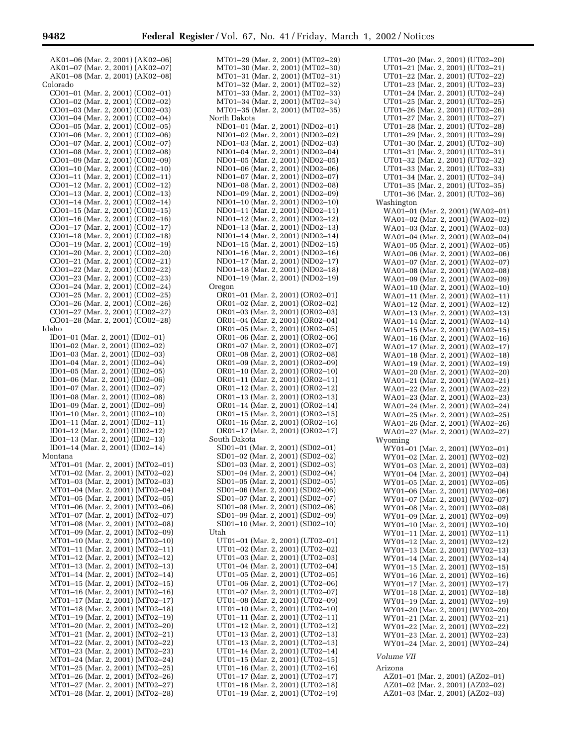AK01–06 (Mar. 2, 2001) (AK02–06) AK01–07 (Mar. 2, 2001) (AK02–07) AK01–08 (Mar. 2, 2001) (AK02–08) Colorado CO01–01 (Mar. 2, 2001) (CO02–01) CO01–02 (Mar. 2, 2001) (CO02–02) CO01–03 (Mar. 2, 2001) (CO02–03) CO01–04 (Mar. 2, 2001) (CO02–04) CO01–05 (Mar. 2, 2001) (CO02–05) CO01–06 (Mar. 2, 2001) (CO02–06) CO01–07 (Mar. 2, 2001) (CO02–07) CO01–08 (Mar. 2, 2001) (CO02–08) CO01–09 (Mar. 2, 2001) (CO02–09) CO01–10 (Mar. 2, 2001) (CO02–10) CO01–11 (Mar. 2, 2001) (CO02–11) CO01–12 (Mar. 2, 2001) (CO02–12) CO01–13 (Mar. 2, 2001) (CO02–13) CO01–14 (Mar. 2, 2001) (CO02–14) CO01–15 (Mar. 2, 2001) (CO02–15) CO01–16 (Mar. 2, 2001) (CO02–16) CO01–17 (Mar. 2, 2001) (CO02–17) CO01–18 (Mar. 2, 2001) (CO02–18) CO01–19 (Mar. 2, 2001) (CO02–19) CO01–20 (Mar. 2, 2001) (CO02–20) CO01–21 (Mar. 2, 2001) (CO02–21) CO01–22 (Mar. 2, 2001) (CO02–22) CO01–23 (Mar. 2, 2001) (CO02–23) CO01–24 (Mar. 2, 2001) (CO02–24) CO01–25 (Mar. 2, 2001) (CO02–25) CO01–26 (Mar. 2, 2001) (CO02–26) CO01–27 (Mar. 2, 2001) (CO02–27) CO01–28 (Mar. 2, 2001) (CO02–28) Idaho ID01–01 (Mar. 2, 2001) (ID02–01) ID01–02 (Mar. 2, 2001) (ID02–02) ID01–03 (Mar. 2, 2001) (ID02–03) ID01–04 (Mar. 2, 2001) (ID02–04) ID01–05 (Mar. 2, 2001) (ID02–05) ID01–06 (Mar. 2, 2001) (ID02–06) ID01–07 (Mar. 2, 2001) (ID02–07) ID01–08 (Mar. 2, 2001) (ID02–08) ID01–09 (Mar. 2, 2001) (ID02–09) ID01–10 (Mar. 2, 2001) (ID02–10) ID01–11 (Mar. 2, 2001) (ID02–11) ID01–12 (Mar. 2, 2001) (ID02–12) ID01–13 (Mar. 2, 2001) (ID02–13) ID01–14 (Mar. 2, 2001) (ID02–14) Montana MT01–01 (Mar. 2, 2001) (MT02–01) MT01–02 (Mar. 2, 2001) (MT02–02) MT01–03 (Mar. 2, 2001) (MT02–03) MT01–04 (Mar. 2, 2001) (MT02–04) MT01–05 (Mar. 2, 2001) (MT02–05) MT01–06 (Mar. 2, 2001) (MT02–06) MT01–07 (Mar. 2, 2001) (MT02–07) MT01–08 (Mar. 2, 2001) (MT02–08) MT01–09 (Mar. 2, 2001) (MT02–09) MT01–10 (Mar. 2, 2001) (MT02–10) MT01–11 (Mar. 2, 2001) (MT02–11) MT01–12 (Mar. 2, 2001) (MT02–12) MT01–13 (Mar. 2, 2001) (MT02–13) MT01–14 (Mar. 2, 2001) (MT02–14) MT01–15 (Mar. 2, 2001) (MT02–15) MT01–16 (Mar. 2, 2001) (MT02–16) MT01–17 (Mar. 2, 2001) (MT02–17) MT01–18 (Mar. 2, 2001) (MT02–18) MT01–19 (Mar. 2, 2001) (MT02–19) MT01–20 (Mar. 2, 2001) (MT02–20) MT01–21 (Mar. 2, 2001) (MT02–21) MT01–22 (Mar. 2, 2001) (MT02–22) MT01–23 (Mar. 2, 2001) (MT02–23) MT01–24 (Mar. 2, 2001) (MT02–24) MT01–25 (Mar. 2, 2001) (MT02–25) MT01–26 (Mar. 2, 2001) (MT02–26) MT01–27 (Mar. 2, 2001) (MT02–27)

MT01–28 (Mar. 2, 2001) (MT02–28)

MT01–29 (Mar. 2, 2001) (MT02–29) MT01–30 (Mar. 2, 2001) (MT02–30) MT01–31 (Mar. 2, 2001) (MT02–31) MT01–32 (Mar. 2, 2001) (MT02–32) MT01–33 (Mar. 2, 2001) (MT02–33) MT01–34 (Mar. 2, 2001) (MT02–34) MT01–35 (Mar. 2, 2001) (MT02–35) North Dakota ND01–01 (Mar. 2, 2001) (ND02–01) ND01–02 (Mar. 2, 2001) (ND02–02) ND01–03 (Mar. 2, 2001) (ND02–03) ND01–04 (Mar. 2, 2001) (ND02–04) ND01–05 (Mar. 2, 2001) (ND02–05) ND01–06 (Mar. 2, 2001) (ND02–06) ND01–07 (Mar. 2, 2001) (ND02–07) ND01–08 (Mar. 2, 2001) (ND02–08) ND01–09 (Mar. 2, 2001) (ND02–09) ND01–10 (Mar. 2, 2001) (ND02–10) ND01–11 (Mar. 2, 2001) (ND02–11) ND01–12 (Mar. 2, 2001) (ND02–12) ND01–13 (Mar. 2, 2001) (ND02–13) ND01–14 (Mar. 2, 2001) (ND02–14) ND01–15 (Mar. 2, 2001) (ND02–15) ND01–16 (Mar. 2, 2001) (ND02–16) ND01–17 (Mar. 2, 2001) (ND02–17) ND01–18 (Mar. 2, 2001) (ND02–18) ND01–19 (Mar. 2, 2001) (ND02–19) Oregon OR01–01 (Mar. 2, 2001) (OR02–01) OR01–02 (Mar. 2, 2001) (OR02–02) OR01–03 (Mar. 2, 2001) (OR02–03) OR01–04 (Mar. 2, 2001) (OR02–04) OR01–05 (Mar. 2, 2001) (OR02–05) OR01–06 (Mar. 2, 2001) (OR02–06) OR01–07 (Mar. 2, 2001) (OR02–07) OR01–08 (Mar. 2, 2001) (OR02–08) OR01–09 (Mar. 2, 2001) (OR02–09) OR01–10 (Mar. 2, 2001) (OR02–10) OR01–11 (Mar. 2, 2001) (OR02–11) OR01–12 (Mar. 2, 2001) (OR02–12) OR01–13 (Mar. 2, 2001) (OR02–13) OR01–14 (Mar. 2, 2001) (OR02–14) OR01–15 (Mar. 2, 2001) (OR02–15) OR01–16 (Mar. 2, 2001) (OR02–16) OR01–17 (Mar. 2, 2001) (OR02–17) South Dakota SD01–01 (Mar. 2, 2001) (SD02–01) SD01–02 (Mar. 2, 2001) (SD02–02) SD01–03 (Mar. 2, 2001) (SD02–03) SD01–04 (Mar. 2, 2001) (SD02–04) SD01–05 (Mar. 2, 2001) (SD02–05) SD01–06 (Mar. 2, 2001) (SD02–06) SD01–07 (Mar. 2, 2001) (SD02–07) SD01–08 (Mar. 2, 2001) (SD02–08) SD01–09 (Mar. 2, 2001) (SD02–09) SD01–10 (Mar. 2, 2001) (SD02–10) Utah UT01–01 (Mar. 2, 2001) (UT02–01) UT01–02 (Mar. 2, 2001) (UT02–02) UT01–03 (Mar. 2, 2001) (UT02–03) UT01–04 (Mar. 2, 2001) (UT02–04) UT01–05 (Mar. 2, 2001) (UT02–05) UT01–06 (Mar. 2, 2001) (UT02–06) UT01–07 (Mar. 2, 2001) (UT02–07) UT01–08 (Mar. 2, 2001) (UT02–09) UT01–10 (Mar. 2, 2001) (UT02–10) UT01–11 (Mar. 2, 2001) (UT02–11) UT01–12 (Mar. 2, 2001) (UT02–12) UT01–13 (Mar. 2, 2001) (UT02–13) UT01–13 (Mar. 2, 2001) (UT02–13) UT01–14 (Mar. 2, 2001) (UT02–14) UT01–15 (Mar. 2, 2001) (UT02–15) UT01–16 (Mar. 2, 2001) (UT02–16) UT01–17 (Mar. 2, 2001) (UT02–17) UT01–18 (Mar. 2, 2001) (UT02–18) UT01–19 (Mar. 2, 2001) (UT02–19)

UT01–20 (Mar. 2, 2001) (UT02–20) UT01–21 (Mar. 2, 2001) (UT02–21) UT01–22 (Mar. 2, 2001) (UT02–22) UT01–23 (Mar. 2, 2001) (UT02–23) UT01–24 (Mar. 2, 2001) (UT02–24) UT01–25 (Mar. 2, 2001) (UT02–25) UT01–26 (Mar. 2, 2001) (UT02–26) UT01–27 (Mar. 2, 2001) (UT02–27) UT01–28 (Mar. 2, 2001) (UT02–28) UT01–29 (Mar. 2, 2001) (UT02–29) UT01–30 (Mar. 2, 2001) (UT02–30) UT01–31 (Mar. 2, 2001) (UT02–31) UT01–32 (Mar. 2, 2001) (UT02–32) UT01–33 (Mar. 2, 2001) (UT02–33) UT01–34 (Mar. 2, 2001) (UT02–34) UT01–35 (Mar. 2, 2001) (UT02–35) UT01–36 (Mar. 2, 2001) (UT02–36) Washington WA01–01 (Mar. 2, 2001) (WA02–01) WA01–02 (Mar. 2, 2001) (WA02–02) WA01–03 (Mar. 2, 2001) (WA02–03) WA01–04 (Mar. 2, 2001) (WA02–04) WA01–05 (Mar. 2, 2001) (WA02–05) WA01–06 (Mar. 2, 2001) (WA02–06) WA01–07 (Mar. 2, 2001) (WA02–07) WA01–08 (Mar. 2, 2001) (WA02–08) WA01–09 (Mar. 2, 2001) (WA02–09) WA01–10 (Mar. 2, 2001) (WA02–10) WA01–11 (Mar. 2, 2001) (WA02–11) WA01–12 (Mar. 2, 2001) (WA02–12) WA01–13 (Mar. 2, 2001) (WA02–13) WA01–14 (Mar. 2, 2001) (WA02–14) WA01–15 (Mar. 2, 2001) (WA02–15) WA01–16 (Mar. 2, 2001) (WA02–16) WA01–17 (Mar. 2, 2001) (WA02–17) WA01–18 (Mar. 2, 2001) (WA02–18) WA01–19 (Mar. 2, 2001) (WA02–19) WA01–20 (Mar. 2, 2001) (WA02–20) WA01–21 (Mar. 2, 2001) (WA02–21) WA01–22 (Mar. 2, 2001) (WA02–22) WA01–23 (Mar. 2, 2001) (WA02–23) WA01–24 (Mar. 2, 2001) (WA02–24) WA01–25 (Mar. 2, 2001) (WA02–25) WA01–26 (Mar. 2, 2001) (WA02–26) WA01–27 (Mar. 2, 2001) (WA02–27) Wyoming WY01–01 (Mar. 2, 2001) (WY02–01) WY01–02 (Mar. 2, 2001) (WY02–02) WY01–03 (Mar. 2, 2001) (WY02–03) WY01–04 (Mar. 2, 2001) (WY02–04) WY01–05 (Mar. 2, 2001) (WY02–05) WY01–06 (Mar. 2, 2001) (WY02–06) WY01–07 (Mar. 2, 2001) (WY02–07) WY01–08 (Mar. 2, 2001) (WY02–08) WY01–09 (Mar. 2, 2001) (WY02–09) WY01–10 (Mar. 2, 2001) (WY02–10) WY01–11 (Mar. 2, 2001) (WY02–11) WY01–12 (Mar. 2, 2001) (WY02–12) WY01–13 (Mar. 2, 2001) (WY02–13) WY01–14 (Mar. 2, 2001) (WY02–14) WY01–15 (Mar. 2, 2001) (WY02–15) WY01–16 (Mar. 2, 2001) (WY02–16) WY01–17 (Mar. 2, 2001) (WY02–17) WY01–18 (Mar. 2, 2001) (WY02–18) WY01–19 (Mar. 2, 2001) (WY02–19) WY01–20 (Mar. 2, 2001) (WY02–20) WY01–21 (Mar. 2, 2001) (WY02–21) WY01–22 (Mar. 2, 2001) (WY02–22) WY01–23 (Mar. 2, 2001) (WY02–23) WY01–24 (Mar. 2, 2001) (WY02–24) *Volume VII* Arizona AZ01–01 (Mar. 2, 2001) (AZ02–01) AZ01–02 (Mar. 2, 2001) (AZ02–02)

AZ01–03 (Mar. 2, 2001) (AZ02–03)